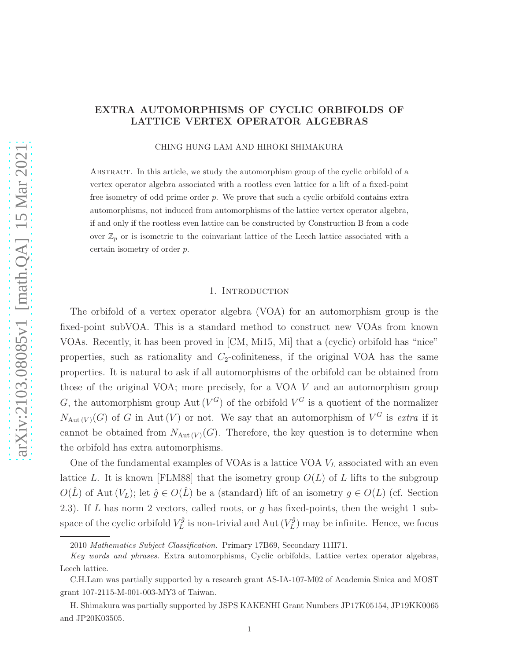# EXTRA AUTOMORPHISMS OF CYCLIC ORBIFOLDS OF LATTICE VERTEX OPERATOR ALGEBRAS

CHING HUNG LAM AND HIROKI SHIMAKURA

Abstract. In this article, we study the automorphism group of the cyclic orbifold of a vertex operator algebra associated with a rootless even lattice for a lift of a fixed-point free isometry of odd prime order  $p$ . We prove that such a cyclic orbifold contains extra automorphisms, not induced from automorphisms of the lattice vertex operator algebra, if and only if the rootless even lattice can be constructed by Construction B from a code over  $\mathbb{Z}_p$  or is isometric to the coinvariant lattice of the Leech lattice associated with a certain isometry of order p.

## 1. Introduction

The orbifold of a vertex operator algebra (VOA) for an automorphism group is the fixed-point subVOA. This is a standard method to construct new VOAs from known VOAs. Recently, it has been proved in [CM, Mi15, Mi] that a (cyclic) orbifold has "nice" properties, such as rationality and  $C_2$ -cofiniteness, if the original VOA has the same properties. It is natural to ask if all automorphisms of the orbifold can be obtained from those of the original VOA; more precisely, for a VOA V and an automorphism group G, the automorphism group Aut  $(V^G)$  of the orbifold  $V^G$  is a quotient of the normalizer  $N_{\text{Aut}(V)}(G)$  of G in Aut (V) or not. We say that an automorphism of  $V^G$  is *extra* if it cannot be obtained from  $N_{\text{Aut}(V)}(G)$ . Therefore, the key question is to determine when the orbifold has extra automorphisms.

One of the fundamental examples of VOAs is a lattice VOA  $V_L$  associated with an even lattice L. It is known [FLM88] that the isometry group  $O(L)$  of L lifts to the subgroup  $O(\hat{L})$  of Aut  $(V_L)$ ; let  $\hat{g} \in O(\hat{L})$  be a (standard) lift of an isometry  $g \in O(L)$  (cf. Section 2.3). If L has norm 2 vectors, called roots, or  $g$  has fixed-points, then the weight 1 subspace of the cyclic orbifold  $V_L^{\hat{g}}$  $\chi^{\hat{g}}_L$  is non-trivial and Aut  $(V_L^{\hat{g}})$  $L^{(g)}$  may be infinite. Hence, we focus

<sup>2010</sup> Mathematics Subject Classification. Primary 17B69, Secondary 11H71.

Key words and phrases. Extra automorphisms, Cyclic orbifolds, Lattice vertex operator algebras, Leech lattice.

C.H.Lam was partially supported by a research grant AS-IA-107-M02 of Academia Sinica and MOST grant 107-2115-M-001-003-MY3 of Taiwan.

H. Shimakura was partially supported by JSPS KAKENHI Grant Numbers JP17K05154, JP19KK0065 and JP20K03505.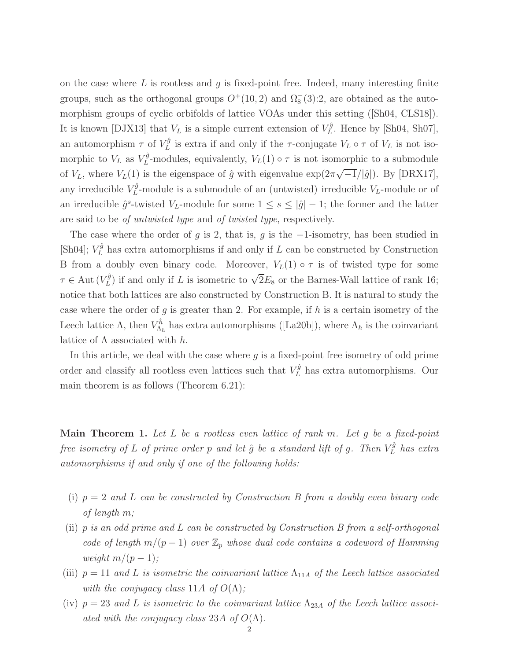on the case where  $L$  is rootless and  $g$  is fixed-point free. Indeed, many interesting finite groups, such as the orthogonal groups  $O^+(10, 2)$  and  $\Omega_8^-(3)$ :2, are obtained as the automorphism groups of cyclic orbifolds of lattice VOAs under this setting ([Sh04, CLS18]). It is known [DJX13] that  $V_L$  is a simple current extension of  $V_L^{\hat{g}}$  $L^g$ . Hence by [Sh04, Sh07], an automorphism  $\tau$  of  $V_L^{\hat{g}}$  $L<sup>g</sup>$  is extra if and only if the  $\tau$ -conjugate  $V<sub>L</sub> \circ \tau$  of  $V<sub>L</sub>$  is not isomorphic to  $V_L$  as  $V_L^{\hat{g}}$  $L^2$ -modules, equivalently,  $V_L(1) \circ \tau$  is not isomorphic to a submodule of  $V_L$ , where  $V_L(1)$  is the eigenspace of  $\hat{g}$  with eigenvalue  $\exp\left(2\pi\sqrt{-1}/|\hat{g}|\right)$ . By [DRX17], any irreducible  $V_L^{\hat{g}}$  $L^2$ -module is a submodule of an (untwisted) irreducible  $V_L$ -module or of an irreducible  $\hat{g}^s$ -twisted  $V_L$ -module for some  $1 \leq s \leq |\hat{g}|-1$ ; the former and the latter are said to be *of untwisted type* and *of twisted type*, respectively.

The case where the order of q is 2, that is, q is the  $-1$ -isometry, has been studied in [Sh04];  $V_L^{\hat{g}}$  has extra automorphisms if and only if L can be constructed by Construction B from a doubly even binary code. Moreover,  $V_L(1) \circ \tau$  is of twisted type for some  $\tau \in \mathrm{Aut\,}(V_L^{\hat{g}})$  $L_L^{\hat{g}}$ ) if and only if L is isometric to  $\sqrt{2}E_8$  or the Barnes-Wall lattice of rank 16; notice that both lattices are also constructed by Construction B. It is natural to study the case where the order of g is greater than 2. For example, if h is a certain isometry of the Leech lattice  $\Lambda$ , then  $V_{\Lambda}^{\hat{h}}$  $\chi^h_{\Lambda_h}$  has extra automorphisms ([La20b]), where  $\Lambda_h$  is the coinvariant lattice of  $\Lambda$  associated with h.

In this article, we deal with the case where  $g$  is a fixed-point free isometry of odd prime order and classify all rootless even lattices such that  $V_L^{\hat{g}}$  has extra automorphisms. Our main theorem is as follows (Theorem 6.21):

Main Theorem 1. *Let* L *be a rootless even lattice of rank* m*. Let* g *be a fixed-point free isometry of* L *of prime order* p and let  $\hat{g}$  be a standard lift of g. Then  $V_L^{\hat{g}}$ L *has extra automorphisms if and only if one of the following holds:*

- (i) p = 2 *and* L *can be constructed by Construction B from a doubly even binary code of length* m*;*
- (ii) p *is an odd prime and* L *can be constructed by Construction B from a self-orthogonal code of length*  $m/(p-1)$  *over*  $\mathbb{Z}_p$  *whose dual code contains a codeword of Hamming weight*  $m/(p-1)$ *;*
- (iii)  $p = 11$  *and* L *is isometric the coinvariant lattice*  $\Lambda_{11A}$  *of the Leech lattice associated with the conjugacy class* 11A *of*  $O(\Lambda)$ ;
- (iv)  $p = 23$  *and* L *is isometric to the coinvariant lattice*  $\Lambda_{23A}$  *of the Leech lattice associated with the conjugacy class* 23A *of*  $O(\Lambda)$ *.*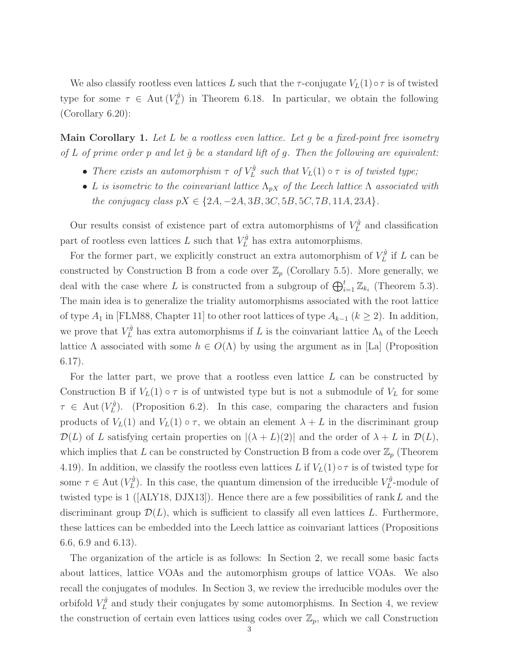We also classify rootless even lattices L such that the  $\tau$ -conjugate  $V_L(1) \circ \tau$  is of twisted type for some  $\tau \in$  Aut  $(V_L^{\hat{g}})$  $L^{(g)}$  in Theorem 6.18. In particular, we obtain the following (Corollary 6.20):

Main Corollary 1. *Let* L *be a rootless even lattice. Let* g *be a fixed-point free isometry of* L *of prime order* p *and let* gˆ *be a standard lift of* g*. Then the following are equivalent:*

- There exists an automorphism  $\tau$  of  $V_L^{\hat{g}}$  $L^g$  such that  $V_L(1) \circ \tau$  *is of twisted type*;
- L *is isometric to the coinvariant lattice*  $\Lambda_{pX}$  *of the Leech lattice*  $\Lambda$  *associated with the conjugacy class*  $pX \in \{2A, -2A, 3B, 3C, 5B, 5C, 7B, 11A, 23A\}.$

Our results consist of existence part of extra automorphisms of  $V_L^{\hat{g}}$  $L^g$  and classification part of rootless even lattices  $L$  such that  $V_L^{\hat{g}}$  has extra automorphisms.

For the former part, we explicitly construct an extra automorphism of  $V_L^{\hat{g}}$  $L^{\prime g}$  if L can be constructed by Construction B from a code over  $\mathbb{Z}_p$  (Corollary 5.5). More generally, we deal with the case where L is constructed from a subgroup of  $\bigoplus_{i=1}^t \mathbb{Z}_{k_i}$  (Theorem 5.3). The main idea is to generalize the triality automorphisms associated with the root lattice of type  $A_1$  in [FLM88, Chapter 11] to other root lattices of type  $A_{k-1}$  ( $k \ge 2$ ). In addition, we prove that  $V_L^{\hat{g}}$  has extra automorphisms if L is the coinvariant lattice  $\Lambda_h$  of the Leech lattice  $\Lambda$  associated with some  $h \in O(\Lambda)$  by using the argument as in [La] (Proposition 6.17).

For the latter part, we prove that a rootless even lattice  $L$  can be constructed by Construction B if  $V_L(1) \circ \tau$  is of untwisted type but is not a submodule of  $V_L$  for some  $\tau \in \mathrm{Aut}(V_L^{\hat{g}})$  $L^{(g)}$ . (Proposition 6.2). In this case, comparing the characters and fusion products of  $V_L(1)$  and  $V_L(1) \circ \tau$ , we obtain an element  $\lambda + L$  in the discriminant group  $\mathcal{D}(L)$  of L satisfying certain properties on  $|(\lambda + L)(2)|$  and the order of  $\lambda + L$  in  $\mathcal{D}(L)$ , which implies that L can be constructed by Construction B from a code over  $\mathbb{Z}_p$  (Theorem 4.19). In addition, we classify the rootless even lattices L if  $V_L(1) \circ \tau$  is of twisted type for some  $\tau \in$  Aut  $(V_L^{\hat{g}})$  $L_L^{\hat{g}}$ ). In this case, the quantum dimension of the irreducible  $V_L^{\hat{g}}$  $L^g$ -module of twisted type is 1 ( $[ALY18, DJX13]$ ). Hence there are a few possibilities of rank L and the discriminant group  $\mathcal{D}(L)$ , which is sufficient to classify all even lattices L. Furthermore, these lattices can be embedded into the Leech lattice as coinvariant lattices (Propositions 6.6, 6.9 and 6.13).

The organization of the article is as follows: In Section 2, we recall some basic facts about lattices, lattice VOAs and the automorphism groups of lattice VOAs. We also recall the conjugates of modules. In Section 3, we review the irreducible modules over the orbifold  $V_L^{\hat{g}}$  $L<sup>q</sup>$  and study their conjugates by some automorphisms. In Section 4, we review the construction of certain even lattices using codes over  $\mathbb{Z}_p$ , which we call Construction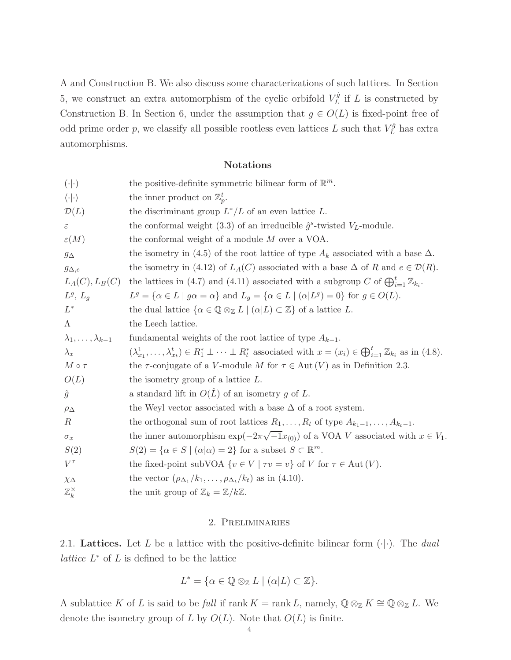A and Construction B. We also discuss some characterizations of such lattices. In Section 5, we construct an extra automorphism of the cyclic orbifold  $V_L^{\hat{g}}$  $L^g$  if L is constructed by Construction B. In Section 6, under the assumption that  $g \in O(L)$  is fixed-point free of odd prime order p, we classify all possible rootless even lattices L such that  $V_L^{\hat{g}}$  has extra automorphisms.

# Notations

| $(\cdot \cdot)$                  | the positive-definite symmetric bilinear form of $\mathbb{R}^m$ .                                                                                               |
|----------------------------------|-----------------------------------------------------------------------------------------------------------------------------------------------------------------|
| $\langle \cdot   \cdot \rangle$  | the inner product on $\mathbb{Z}_p^t$ .                                                                                                                         |
| $\mathcal{D}(L)$                 | the discriminant group $L^*/L$ of an even lattice L.                                                                                                            |
| $\varepsilon$                    | the conformal weight (3.3) of an irreducible $\hat{g}^s$ -twisted $V_L$ -module.                                                                                |
| $\varepsilon(M)$                 | the conformal weight of a module $M$ over a VOA.                                                                                                                |
| $g_{\Delta}$                     | the isometry in (4.5) of the root lattice of type $A_k$ associated with a base $\Delta$ .                                                                       |
| $g_{\Delta,e}$                   | the isometry in (4.12) of $L_A(C)$ associated with a base $\Delta$ of R and $e \in \mathcal{D}(R)$ .                                                            |
| $L_A(C), L_B(C)$                 | the lattices in (4.7) and (4.11) associated with a subgroup C of $\bigoplus_{i=1}^{t} \mathbb{Z}_{k_i}$ .                                                       |
| $L^g$ , $L_q$                    | $L^g = \{ \alpha \in L \mid g\alpha = \alpha \}$ and $L_g = \{ \alpha \in L \mid (\alpha L^g) = 0 \}$ for $g \in O(L)$ .                                        |
| $L^*$                            | the dual lattice $\{\alpha \in \mathbb{Q} \otimes_{\mathbb{Z}} L \mid (\alpha   L) \subset \mathbb{Z}\}\$ of a lattice L.                                       |
| $\Lambda$                        | the Leech lattice.                                                                                                                                              |
| $\lambda_1,\ldots,\lambda_{k-1}$ | fundamental weights of the root lattice of type $A_{k-1}$ .                                                                                                     |
| $\lambda_x$                      | $(\lambda_{x_1}^1, \ldots, \lambda_{x_t}^t) \in R_1^* \perp \cdots \perp R_t^*$ associated with $x = (x_i) \in \bigoplus_{i=1}^t \mathbb{Z}_{k_i}$ as in (4.8). |
| $M \circ \tau$                   | the $\tau$ -conjugate of a V-module M for $\tau \in$ Aut $(V)$ as in Definition 2.3.                                                                            |
| O(L)                             | the isometry group of a lattice $L$ .                                                                                                                           |
| $\hat{g}$                        | a standard lift in $O(\hat{L})$ of an isometry g of L.                                                                                                          |
| $\rho_{\Delta}$                  | the Weyl vector associated with a base $\Delta$ of a root system.                                                                                               |
| $\boldsymbol{R}$                 | the orthogonal sum of root lattices $R_1, \ldots, R_t$ of type $A_{k_1-1}, \ldots, A_{k_t-1}$ .                                                                 |
| $\sigma_x$                       | the inner automorphism $\exp(-2\pi\sqrt{-1}x_{(0)})$ of a VOA V associated with $x \in V_1$ .                                                                   |
| S(2)                             | $S(2) = {\alpha \in S \mid (\alpha \alpha) = 2}$ for a subset $S \subset \mathbb{R}^m$ .                                                                        |
| $V^{\tau}$                       | the fixed-point subVOA $\{v \in V \mid \tau v = v\}$ of V for $\tau \in$ Aut $(V)$ .                                                                            |
| $\chi_{\Delta}$                  | the vector $(\rho_{\Delta_1}/k_1,\ldots,\rho_{\Delta_t}/k_t)$ as in (4.10).                                                                                     |
| $\mathbb{Z}_k^\times$            | the unit group of $\mathbb{Z}_k = \mathbb{Z}/k\mathbb{Z}$ .                                                                                                     |

# 2. Preliminaries

2.1. Lattices. Let  $L$  be a lattice with the positive-definite bilinear form  $(\cdot | \cdot)$ . The *dual lattice*  $L^*$  of  $L$  is defined to be the lattice

$$
L^* = \{ \alpha \in \mathbb{Q} \otimes_{\mathbb{Z}} L \mid (\alpha | L) \subset \mathbb{Z} \}.
$$

A sublattice K of L is said to be *full* if rank K = rank L, namely,  $\mathbb{Q} \otimes_{\mathbb{Z}} K \cong \mathbb{Q} \otimes_{\mathbb{Z}} L$ . We denote the isometry group of L by  $O(L)$ . Note that  $O(L)$  is finite.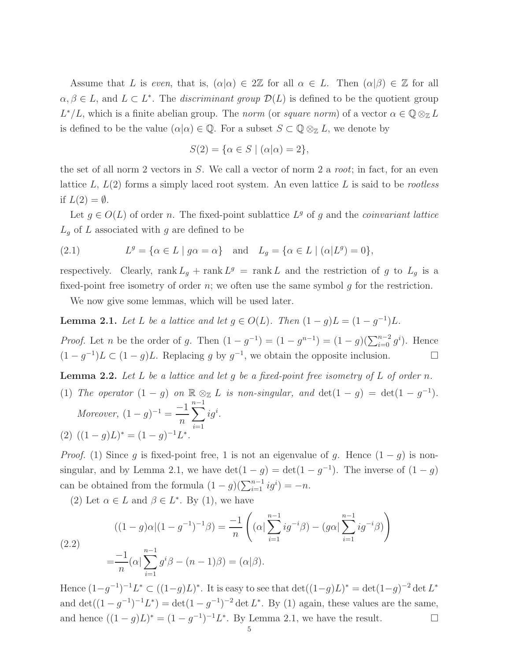Assume that L is *even*, that is,  $(\alpha|\alpha) \in 2\mathbb{Z}$  for all  $\alpha \in L$ . Then  $(\alpha|\beta) \in \mathbb{Z}$  for all  $\alpha, \beta \in L$ , and  $L \subset L^*$ . The *discriminant group*  $\mathcal{D}(L)$  is defined to be the quotient group  $L^*/L$ , which is a finite abelian group. The *norm* (or *square norm*) of a vector  $\alpha \in \mathbb{Q} \otimes_{\mathbb{Z}} L$ is defined to be the value  $(\alpha|\alpha) \in \mathbb{Q}$ . For a subset  $S \subset \mathbb{Q} \otimes_{\mathbb{Z}} L$ , we denote by

$$
S(2) = \{ \alpha \in S \mid (\alpha|\alpha) = 2 \},\
$$

the set of all norm 2 vectors in S. We call a vector of norm 2 a *root*; in fact, for an even lattice L, L(2) forms a simply laced root system. An even lattice L is said to be *rootless* if  $L(2) = \emptyset$ .

Let  $g \in O(L)$  of order n. The fixed-point sublattice  $L^g$  of g and the *coinvariant lattice*  $L_g$  of L associated with g are defined to be

(2.1) 
$$
L^g = \{ \alpha \in L \mid g\alpha = \alpha \} \quad \text{and} \quad L_g = \{ \alpha \in L \mid (\alpha | L^g) = 0 \},
$$

respectively. Clearly, rank  $L_g$  + rank  $L^g$  = rank L and the restriction of g to  $L_g$  is a fixed-point free isometry of order n; we often use the same symbol  $q$  for the restriction.

We now give some lemmas, which will be used later.

**Lemma 2.1.** *Let L be a lattice and let*  $g \in O(L)$ *. Then*  $(1 - g)L = (1 - g^{-1})L$ *.* 

*Proof.* Let *n* be the order of *g*. Then  $(1 - g^{-1}) = (1 - g^{n-1}) = (1 - g)(\sum_{i=0}^{n-2} g^i)$ . Hence  $(1 - g^{-1})L \subset (1 - g)L$ . Replacing g by  $g^{-1}$ , we obtain the opposite inclusion. □

Lemma 2.2. *Let* L *be a lattice and let* g *be a fixed-point free isometry of* L *of order* n*.*

(1) *The operator*  $(1-g)$  *on*  $\mathbb{R} \otimes_{\mathbb{Z}} L$  *is non-singular, and*  $\det(1-g) = \det(1-g^{-1})$ *. Moreover,*  $(1 - g)^{-1} = \frac{-1}{n}$ n  $\sum^{n-1}$  $i=1$  $ig^i.$ (2)  $((1-g)L)^* = (1-g)^{-1}L^*$ .

*Proof.* (1) Since g is fixed-point free, 1 is not an eigenvalue of g. Hence  $(1 - g)$  is nonsingular, and by Lemma 2.1, we have  $\det(1-g) = \det(1-g^{-1})$ . The inverse of  $(1-g)$ can be obtained from the formula  $(1-g)(\sum_{i=1}^{n-1} ig^i) = -n$ .

(2) Let  $\alpha \in L$  and  $\beta \in L^*$ . By (1), we have

(2.2)  
\n
$$
((1 - g)\alpha|(1 - g^{-1})^{-1}\beta) = \frac{-1}{n} \left( (\alpha \sum_{i=1}^{n-1} ig^{-i}\beta) - (g\alpha \sum_{i=1}^{n-1} ig^{-i}\beta) \right)
$$
\n
$$
= \frac{-1}{n} (\alpha \sum_{i=1}^{n-1} g^i \beta - (n - 1)\beta) = (\alpha|\beta).
$$

Hence  $(1 - g^{-1})^{-1} L^* \subset ((1 - g)L)^*$ . It is easy to see that  $\det((1 - g)L)^* = \det(1 - g)^{-2} \det L^*$ and  $\det((1 - g^{-1})^{-1}L^*) = \det(1 - g^{-1})^{-2} \det L^*$ . By (1) again, these values are the same, and hence  $((1-g)L)^* = (1 - g^{-1})^{-1}L^*$ . By Lemma 2.1, we have the result.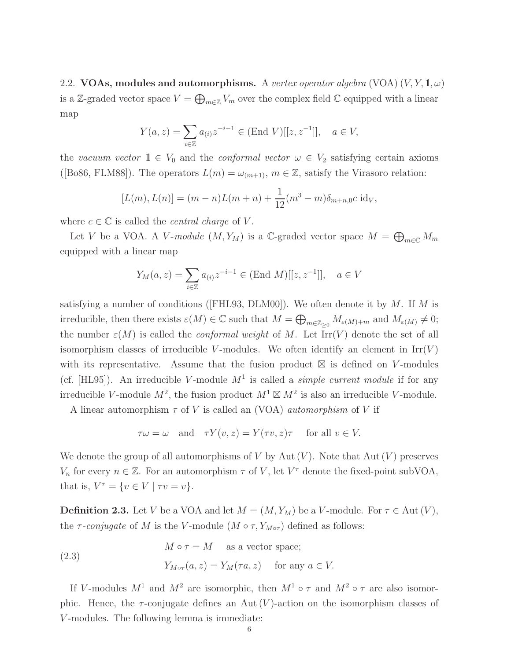2.2. **VOAs, modules and automorphisms.** A *vertex operator algebra* (VOA)  $(V, Y, 1, \omega)$ is a Z-graded vector space  $V = \bigoplus_{m \in \mathbb{Z}} V_m$  over the complex field C equipped with a linear map

$$
Y(a, z) = \sum_{i \in \mathbb{Z}} a_{(i)} z^{-i-1} \in (\text{End } V)[[z, z^{-1}]], \quad a \in V,
$$

the *vacuum vector*  $1 \in V_0$  and the *conformal vector*  $\omega \in V_2$  satisfying certain axioms ([Bo86, FLM88]). The operators  $L(m) = \omega_{m+1}$ ,  $m \in \mathbb{Z}$ , satisfy the Virasoro relation:

$$
[L(m), L(n)] = (m - n)L(m + n) + \frac{1}{12}(m^{3} - m)\delta_{m+n,0}c \operatorname{id}_V,
$$

where  $c \in \mathbb{C}$  is called the *central charge* of V.

Let V be a VOA. A V-module  $(M, Y_M)$  is a C-graded vector space  $M = \bigoplus_{m \in \mathbb{C}} M_m$ equipped with a linear map

$$
Y_M(a, z) = \sum_{i \in \mathbb{Z}} a_{(i)} z^{-i-1} \in (\text{End } M)[[z, z^{-1}]], \quad a \in V
$$

satisfying a number of conditions ([FHL93, DLM00]). We often denote it by  $M$ . If M is irreducible, then there exists  $\varepsilon(M) \in \mathbb{C}$  such that  $M = \bigoplus_{m \in \mathbb{Z}_{\geq 0}} M_{\varepsilon(M)+m}$  and  $M_{\varepsilon(M)} \neq 0;$ the number  $\varepsilon(M)$  is called the *conformal weight* of M. Let  $\text{Irr}(V)$  denote the set of all isomorphism classes of irreducible V-modules. We often identify an element in  $\text{Irr}(V)$ with its representative. Assume that the fusion product  $\boxtimes$  is defined on V-modules (cf. [HL95]). An irreducible V-module  $M<sup>1</sup>$  is called a *simple current module* if for any irreducible V-module  $M^2$ , the fusion product  $M^1 \boxtimes M^2$  is also an irreducible V-module.

A linear automorphism τ of V is called an (VOA) *automorphism* of V if

$$
\tau\omega = \omega
$$
 and  $\tau Y(v, z) = Y(\tau v, z)\tau$  for all  $v \in V$ .

We denote the group of all automorphisms of V by Aut  $(V)$ . Note that Aut  $(V)$  preserves  $V_n$  for every  $n \in \mathbb{Z}$ . For an automorphism  $\tau$  of V, let  $V^{\tau}$  denote the fixed-point subVOA, that is,  $V^{\tau} = \{v \in V \mid \tau v = v\}.$ 

**Definition 2.3.** Let V be a VOA and let  $M = (M, Y_M)$  be a V-module. For  $\tau \in \text{Aut}(V)$ , the  $\tau$ -conjugate of M is the V-module ( $M \circ \tau$ ,  $Y_{M \circ \tau}$ ) defined as follows:

(2.3) 
$$
M \circ \tau = M \text{ as a vector space;}
$$

$$
Y_{M \circ \tau}(a, z) = Y_M(\tau a, z) \text{ for any } a \in V.
$$

If V-modules  $M^1$  and  $M^2$  are isomorphic, then  $M^1 \circ \tau$  and  $M^2 \circ \tau$  are also isomorphic. Hence, the  $\tau$ -conjugate defines an Aut (V)-action on the isomorphism classes of V -modules. The following lemma is immediate: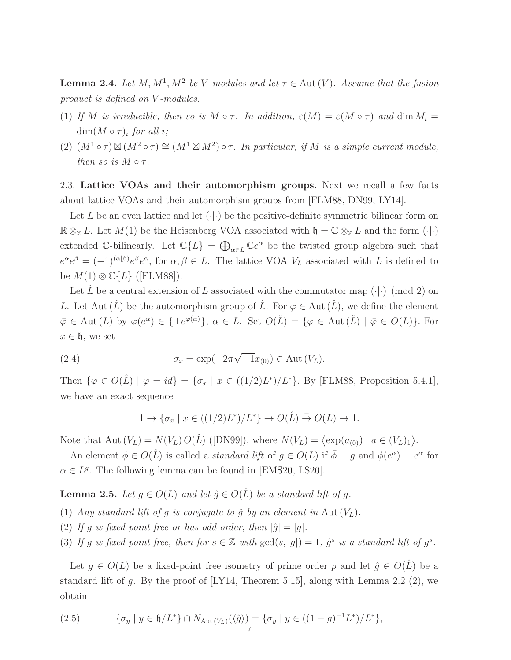**Lemma 2.4.** Let  $M, M^1, M^2$  be V-modules and let  $\tau \in$  Aut  $(V)$ . Assume that the fusion *product is defined on* V *-modules.*

- (1) If M is irreducible, then so is  $M \circ \tau$ . In addition,  $\varepsilon(M) = \varepsilon(M \circ \tau)$  and  $\dim M_i =$  $\dim(M \circ \tau)_i$  *for all i*;
- $(2)$   $(M^1 \circ \tau) \boxtimes (M^2 \circ \tau) \cong (M^1 \boxtimes M^2) \circ \tau$ . In particular, if M is a simple current module, *then so is*  $M \circ \tau$ *.*

2.3. Lattice VOAs and their automorphism groups. Next we recall a few facts about lattice VOAs and their automorphism groups from [FLM88, DN99, LY14].

Let L be an even lattice and let  $(\cdot | \cdot)$  be the positive-definite symmetric bilinear form on  $\mathbb{R} \otimes_{\mathbb{Z}} L$ . Let  $M(1)$  be the Heisenberg VOA associated with  $\mathfrak{h} = \mathbb{C} \otimes_{\mathbb{Z}} L$  and the form  $(\cdot | \cdot)$ extended C-bilinearly. Let  $\mathbb{C}{L} = \bigoplus_{\alpha \in L} \mathbb{C}e^{\alpha}$  be the twisted group algebra such that  $e^{\alpha}e^{\beta} = (-1)^{(\alpha|\beta)}e^{\beta}e^{\alpha}$ , for  $\alpha, \beta \in L$ . The lattice VOA  $V_L$  associated with L is defined to be  $M(1) \otimes \mathbb{C}{L}$  ([FLM88]).

Let L be a central extension of L associated with the commutator map  $(\cdot | \cdot)$  (mod 2) on L. Let Aut  $(\hat{L})$  be the automorphism group of  $\hat{L}$ . For  $\varphi \in \text{Aut}(\hat{L})$ , we define the element  $\overline{\varphi} \in \mathrm{Aut}\,(L)$  by  $\varphi(e^{\alpha}) \in {\{\pm e^{\overline{\varphi}(\alpha)}\}}$ ,  $\alpha \in L$ . Set  $O(\hat{L}) = {\{\varphi \in \mathrm{Aut}\,(\hat{L}) \mid \overline{\varphi} \in O(L)\}}$ . For  $x \in \mathfrak{h}$ , we set

(2.4) 
$$
\sigma_x = \exp(-2\pi\sqrt{-1}x_{(0)}) \in \text{Aut}(V_L).
$$

Then  $\{\varphi \in O(\hat{L}) \mid \bar{\varphi} = id\} = \{\sigma_x \mid x \in ((1/2)L^*)/L^*\}$ . By [FLM88, Proposition 5.4.1], we have an exact sequence

$$
1 \to \{\sigma_x \mid x \in ((1/2)L^*)/L^*\} \to O(\hat{L}) \to O(L) \to 1.
$$

Note that  $\text{Aut}(V_L) = N(V_L) O(\hat{L})$  ([DN99]), where  $N(V_L) = \langle \exp(a_{(0)}) \mid a \in (V_L)_1 \rangle$ .

An element  $\phi \in O(\hat{L})$  is called a *standard lift* of  $g \in O(L)$  if  $\bar{\phi} = g$  and  $\phi(e^{\alpha}) = e^{\alpha}$  for  $\alpha \in L^g$ . The following lemma can be found in [EMS20, LS20].

**Lemma 2.5.** *Let*  $g \in O(L)$  *and let*  $\hat{g} \in O(\hat{L})$  *be a standard lift of g.* 

(1) *Any standard lift of g is conjugate to*  $\hat{g}$  *by an element in* Aut  $(V_L)$ *.* 

- (2) If g is fixed-point free or has odd order, then  $|\hat{q}| = |q|$ .
- (3) If g is fixed-point free, then for  $s \in \mathbb{Z}$  with  $gcd(s, |g|) = 1$ ,  $\hat{g}^s$  is a standard lift of  $g^s$ .

Let  $g \in O(L)$  be a fixed-point free isometry of prime order p and let  $\hat{g} \in O(\hat{L})$  be a standard lift of  $g$ . By the proof of [LY14, Theorem 5.15], along with Lemma 2.2 (2), we obtain

(2.5) 
$$
\{\sigma_y \mid y \in \mathfrak{h}/L^*\} \cap N_{\text{Aut}(V_L)}(\langle \hat{g} \rangle) = \{\sigma_y \mid y \in ((1-g)^{-1}L^*)/L^*\},
$$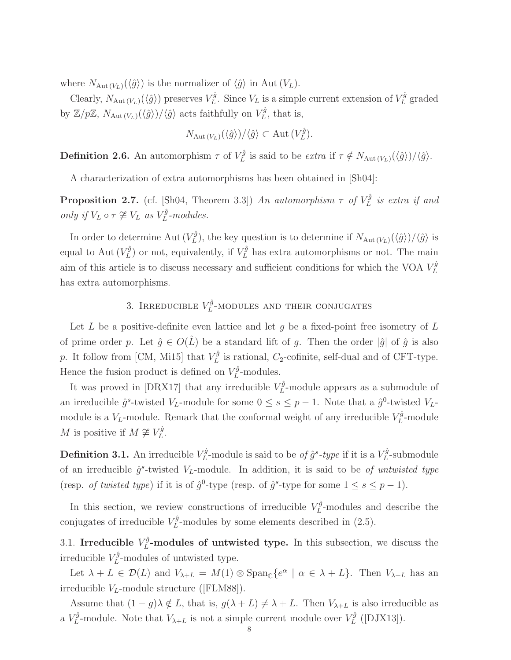where  $N_{\text{Aut}(V_L)}(\langle \hat{g} \rangle)$  is the normalizer of  $\langle \hat{g} \rangle$  in Aut  $(V_L)$ .

Clearly,  $N_{\text{Aut}(V_L)}(\langle \hat{g} \rangle)$  preserves  $V_L^{\hat{g}}$  $L^{\hat{g}}$ . Since  $V_L$  is a simple current extension of  $V_L^{\hat{g}}$  $L^g$  graded by  $\mathbb{Z}/p\mathbb{Z}$ ,  $N_{\text{Aut}(V_L)}(\langle \hat{g} \rangle) / \langle \hat{g} \rangle$  acts faithfully on  $V_L^{\hat{g}}$  $L^g$ , that is,

$$
N_{\text{Aut}(V_L)}(\langle \hat{g} \rangle) / \langle \hat{g} \rangle \subset \text{Aut}(V_L^{\hat{g}}).
$$

**Definition 2.6.** An automorphism  $\tau$  of  $V_L^{\hat{g}}$  $L^g$  is said to be *extra* if  $\tau \notin N_{\text{Aut}(V_L)}(\langle \hat{g} \rangle) / \langle \hat{g} \rangle$ .

A characterization of extra automorphisms has been obtained in [Sh04]:

**Proposition 2.7.** (cf. [Sh04, Theorem 3.3]) *An automorphism*  $\tau$  *of*  $V_L^{\hat{g}}$ L *is extra if and only if*  $V_L \circ \tau \not\cong V_L$  *as*  $V_L^{\hat{g}}$  $L^g$ -modules.

In order to determine Aut  $(V_L^{\hat{g}})$  $L^{(g)}(k)$ , the key question is to determine if  $N_{\text{Aut}(V_L)}(\langle \hat{g} \rangle)/\langle \hat{g} \rangle$  is equal to Aut  $(V_L^{\hat{g}})$  $L_L^{\hat{g}}$  or not, equivalently, if  $V_L^{\hat{g}}$  has extra automorphisms or not. The main aim of this article is to discuss necessary and sufficient conditions for which the VOA  $V_L^{\hat{g}}$ L has extra automorphisms.

#### 3. Irreducible  $V_L^{\hat{g}}$  $L^{rg}$ -MODULES AND THEIR CONJUGATES

Let  $L$  be a positive-definite even lattice and let  $q$  be a fixed-point free isometry of  $L$ of prime order p. Let  $\hat{g} \in O(\hat{L})$  be a standard lift of g. Then the order  $|\hat{g}|$  of  $\hat{g}$  is also p. It follow from [CM, Mi15] that  $V_L^{\hat{g}}$  $L<sup>fg</sup>$  is rational,  $C_2$ -cofinite, self-dual and of CFT-type. Hence the fusion product is defined on  $V_L^{\hat{g}}$  $L^g$ -modules.

It was proved in [DRX17] that any irreducible  $V_L^{\hat{g}}$  $L^2$ -module appears as a submodule of an irreducible  $\hat{g}^s$ -twisted  $V_L$ -module for some  $0 \leq s \leq p-1$ . Note that a  $\hat{g}^0$ -twisted  $V_L$ module is a  $V_L$ -module. Remark that the conformal weight of any irreducible  $V_L^{\hat{g}}$  $L^g$ -module M is positive if  $M \not\cong V_L^{\hat{g}}$  $_L^{\mathcal{G}}$  .

**Definition 3.1.** An irreducible  $V_L^{\hat{g}}$  $L^{\hat{g}}$ -module is said to be *of*  $\hat{g}^s$ -type if it is a  $V_L^{\hat{g}}$  $L^g$ -submodule of an irreducible  $\hat{g}^s$ -twisted  $V_L$ -module. In addition, it is said to be *of untwisted type* (resp. *of twisted type*) if it is of  $\hat{g}^0$ -type (resp. of  $\hat{g}^s$ -type for some  $1 \leq s \leq p-1$ ).

In this section, we review constructions of irreducible  $V_L^{\hat{g}}$  $L^{g}$ -modules and describe the conjugates of irreducible  $V_L^{\hat{g}}$  $L^2$ -modules by some elements described in (2.5).

3.1. Irreducible  $V_L^{\hat{g}}$  $L^2$ -modules of untwisted type. In this subsection, we discuss the irreducible  $V_L^{\hat{g}}$  $L^{g}_{L}$ -modules of untwisted type.

Let  $\lambda + L \in \mathcal{D}(L)$  and  $V_{\lambda+L} = M(1) \otimes \text{Span}_{\mathbb{C}}\{e^{\alpha} \mid \alpha \in \lambda + L\}$ . Then  $V_{\lambda+L}$  has an irreducible  $V_L$ -module structure ([FLM88]).

Assume that  $(1 - g)\lambda \notin L$ , that is,  $g(\lambda + L) \neq \lambda + L$ . Then  $V_{\lambda + L}$  is also irreducible as a  $V_L^{\hat{g}}$  $L^{\hat{g}}$ -module. Note that  $V_{\lambda+L}$  is not a simple current module over  $V_L^{\hat{g}}$  $L^{\prime g}$  ([DJX13]).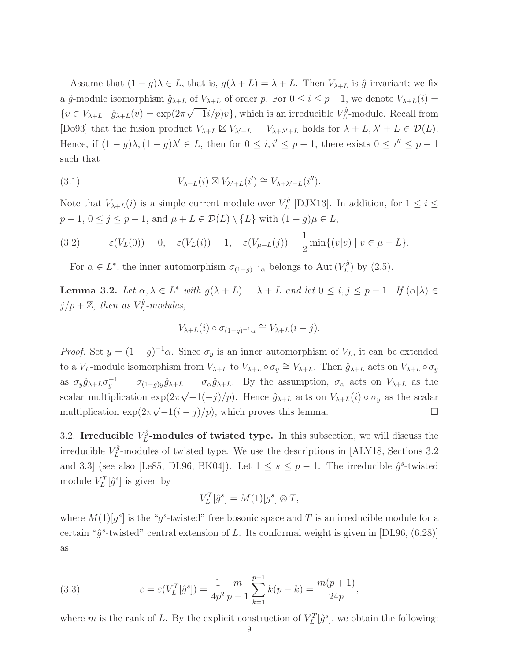Assume that  $(1 - g)\lambda \in L$ , that is,  $g(\lambda + L) = \lambda + L$ . Then  $V_{\lambda + L}$  is  $\hat{g}$ -invariant; we fix a  $\hat{g}$ -module isomorphism  $\hat{g}_{\lambda+L}$  of  $V_{\lambda+L}$  of order p. For  $0 \leq i \leq p-1$ , we denote  $V_{\lambda+L}(i)$  $\{v \in V_{\lambda+L} \mid \hat{g}_{\lambda+L}(v) = \exp(2\pi\sqrt{-1}i/p)v\},\$  which is an irreducible  $V_L^{\hat{g}}$  $L^g$ -module. Recall from [Do93] that the fusion product  $V_{\lambda+L} \boxtimes V_{\lambda'+L} = V_{\lambda+\lambda'+L}$  holds for  $\lambda + L, \lambda' + L \in \mathcal{D}(L)$ . Hence, if  $(1-g)\lambda$ ,  $(1-g)\lambda' \in L$ , then for  $0 \le i, i' \le p-1$ , there exists  $0 \le i'' \le p-1$ such that

(3.1) 
$$
V_{\lambda+L}(i) \boxtimes V_{\lambda'+L}(i') \cong V_{\lambda+\lambda'+L}(i'').
$$

Note that  $V_{\lambda+L}(i)$  is a simple current module over  $V_L^{\hat{g}}$  $L^g$  [DJX13]. In addition, for  $1 \leq i \leq$  $p-1, 0 \le j \le p-1$ , and  $\mu + L \in \mathcal{D}(L) \setminus \{L\}$  with  $(1-g)\mu \in L$ ,

(3.2) 
$$
\varepsilon(V_L(0)) = 0, \quad \varepsilon(V_L(i)) = 1, \quad \varepsilon(V_{\mu+L}(j)) = \frac{1}{2} \min\{(v|v) \mid v \in \mu + L\}.
$$

For  $\alpha \in L^*$ , the inner automorphism  $\sigma_{(1-g)^{-1}\alpha}$  belongs to Aut  $(V_L^{\hat{g}})$  $L^{(g)}$  by  $(2.5)$ .

**Lemma 3.2.** Let  $\alpha, \lambda \in L^*$  with  $g(\lambda + L) = \lambda + L$  and let  $0 \le i, j \le p - 1$ . If  $(\alpha | \lambda) \in$  $j/p + \mathbb{Z}$ , then as  $V_L^{\hat{g}}$ L *-modules,*

$$
V_{\lambda+L}(i) \circ \sigma_{(1-g)^{-1}\alpha} \cong V_{\lambda+L}(i-j).
$$

*Proof.* Set  $y = (1 - g)^{-1}\alpha$ . Since  $\sigma_y$  is an inner automorphism of  $V_L$ , it can be extended to a  $V_L$ -module isomorphism from  $V_{\lambda+L}$  to  $V_{\lambda+L} \circ \sigma_y \cong V_{\lambda+L}$ . Then  $\hat{g}_{\lambda+L}$  acts on  $V_{\lambda+L} \circ \sigma_y$ as  $\sigma_y \hat{g}_{\lambda+L} \sigma_y^{-1} = \sigma_{(1-g)y} \hat{g}_{\lambda+L} = \sigma_\alpha \hat{g}_{\lambda+L}$ . By the assumption,  $\sigma_\alpha$  acts on  $V_{\lambda+L}$  as the scalar multiplication  $\exp(2\pi\sqrt{-1}(-j)/p)$ . Hence  $\hat{g}_{\lambda+L}$  acts on  $V_{\lambda+L}(i) \circ \sigma_y$  as the scalar multiplication  $\exp(2\pi\sqrt{-1}(i-j)/p)$ , which proves this lemma.

3.2. Irreducible  $V_L^{\hat{g}}$  $L^2$ -modules of twisted type. In this subsection, we will discuss the irreducible  $V_L^{\hat{g}}$  $L^2$ -modules of twisted type. We use the descriptions in [ALY18, Sections 3.2 and 3.3] (see also [Le85, DL96, BK04]). Let  $1 \leq s \leq p-1$ . The irreducible  $\hat{g}^s$ -twisted module  $V_L^T[\hat{g}^s]$  is given by

$$
V_L^T[\hat{g}^s] = M(1)[g^s] \otimes T,
$$

where  $M(1)[g^s]$  is the "g<sup>s</sup>-twisted" free bosonic space and T is an irreducible module for a certain " $\hat{g}^s$ -twisted" central extension of L. Its conformal weight is given in [DL96, (6.28)] as

(3.3) 
$$
\varepsilon = \varepsilon (V_L^T[\hat{g}^s]) = \frac{1}{4p^2} \frac{m}{p-1} \sum_{k=1}^{p-1} k(p-k) = \frac{m(p+1)}{24p},
$$

where m is the rank of L. By the explicit construction of  $V_L^T[\hat{g}^s]$ , we obtain the following: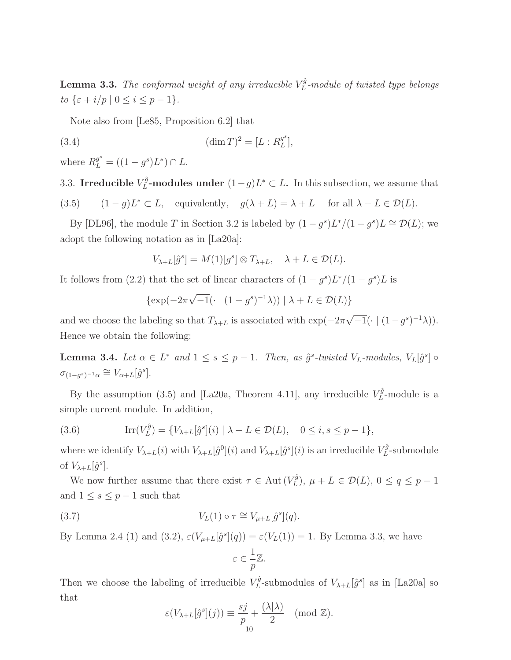**Lemma 3.3.** The conformal weight of any irreducible  $V_L^{\hat{g}}$ L *-module of twisted type belongs to*  $\{\varepsilon + i/p \mid 0 \leq i \leq p-1\}.$ 

Note also from [Le85, Proposition 6.2] that

(3.4) 
$$
(\dim T)^2 = [L: R_L^{g^s}],
$$

where  $R_L^{g^s} = ((1 - g^s)L^*) \cap L$ .

3.3. Irreducible  $V_L^{\hat{g}}$  $L^{\tilde{g}}$ -modules under  $(1-g)L^* \subset L$ . In this subsection, we assume that

(3.5)  $(1-g)L^* \subset L$ , equivalently,  $g(\lambda + L) = \lambda + L$  for all  $\lambda + L \in \mathcal{D}(L)$ .

By [DL96], the module T in Section 3.2 is labeled by  $(1 - g<sup>s</sup>)L<sup>*</sup>/(1 - g<sup>s</sup>)L \cong \mathcal{D}(L)$ ; we adopt the following notation as in [La20a]:

$$
V_{\lambda+L}[\hat{g}^s] = M(1)[g^s] \otimes T_{\lambda+L}, \quad \lambda + L \in \mathcal{D}(L).
$$

It follows from (2.2) that the set of linear characters of  $(1-g<sup>s</sup>)L<sup>*</sup>/(1-g<sup>s</sup>)L$  is

$$
\{\exp(-2\pi\sqrt{-1}(\cdot \mid (1-g^s)^{-1}\lambda)) \mid \lambda + L \in \mathcal{D}(L)\}\
$$

and we choose the labeling so that  $T_{\lambda+L}$  is associated with  $\exp(-2\pi\sqrt{-1}(\cdot \mid (1-g^s)^{-1}\lambda)).$ Hence we obtain the following:

**Lemma 3.4.** Let  $\alpha \in L^*$  and  $1 \leq s \leq p-1$ . Then, as  $\hat{g}^s$ -twisted  $V_L$ -modules,  $V_L[\hat{g}^s] \circ$  $\sigma_{(1-g^s)^{-1}\alpha} \cong V_{\alpha+L}[\hat{g}^s].$ 

By the assumption (3.5) and [La20a, Theorem 4.11], any irreducible  $V_L^{\hat{g}}$  $L^{g}$ -module is a simple current module. In addition,

(3.6) 
$$
\text{Irr}(V_L^{\hat{g}}) = \{V_{\lambda+L}[\hat{g}^s](i) \mid \lambda + L \in \mathcal{D}(L), \quad 0 \le i, s \le p-1\},
$$

where we identify  $V_{\lambda+L}(i)$  with  $V_{\lambda+L}[\hat{g}^0](i)$  and  $V_{\lambda+L}[\hat{g}^s](i)$  is an irreducible  $V_L^{\hat{g}}$  $L^{rg}$ -submodule of  $V_{\lambda+L}[\hat{g}^s]$ .

We now further assume that there exist  $\tau \in \text{Aut}(V_L^{\hat{g}})$  $\mathcal{L}^{g}_{L}$ ,  $\mu + L \in \mathcal{D}(L)$ ,  $0 \leq q \leq p - 1$ and  $1 \leq s \leq p-1$  such that

(3.7) 
$$
V_L(1) \circ \tau \cong V_{\mu+L}[\hat{g}^s](q).
$$

By Lemma 2.4 (1) and (3.2),  $\varepsilon(V_{\mu+L}[\hat{g}^s](q)) = \varepsilon(V_L(1)) = 1$ . By Lemma 3.3, we have

$$
\varepsilon \in \frac{1}{p}\mathbb{Z}.
$$

Then we choose the labeling of irreducible  $V_L^{\hat{g}}$  $L^{\hat{g}}$ -submodules of  $V_{\lambda+L}[\hat{g}^s]$  as in [La20a] so that

$$
\varepsilon(V_{\lambda+L}[\hat{g}^s](j)) \equiv \frac{sj}{p} + \frac{(\lambda|\lambda)}{2} \pmod{\mathbb{Z}}.
$$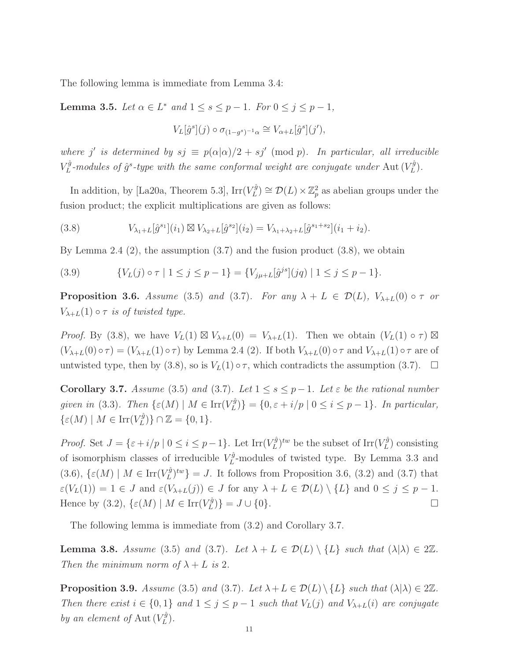The following lemma is immediate from Lemma 3.4:

**Lemma 3.5.** *Let*  $\alpha \in L^*$  *and*  $1 \le s \le p - 1$ *. For*  $0 \le j \le p - 1$ *,* 

$$
V_L[\hat{g}^s](j) \circ \sigma_{(1-g^s)^{-1}\alpha} \cong V_{\alpha+L}[\hat{g}^s](j'),
$$

*where j' is determined by*  $sj \equiv p(\alpha|\alpha)/2 + sj' \pmod{p}$ *. In particular, all irreducible*  $V_{L}^{\hat{g}}$  $\hat{L}^{\hat{g}}$ -modules of  $\hat{g}^s$ -type with the same conformal weight are conjugate under  $\text{Aut}\,(V_L^{\hat{g}})$  $\binom{rg}{L}$ .

In addition, by [La20a, Theorem 5.3],  $\text{Irr}(V_L^{\hat{g}})$  $(\mathcal{L}_L^{\hat{g}}) \cong \mathcal{D}(L) \times \mathbb{Z}_p^2$  as abelian groups under the fusion product; the explicit multiplications are given as follows:

(3.8) 
$$
V_{\lambda_1+L}[\hat{g}^{s_1}](i_1) \boxtimes V_{\lambda_2+L}[\hat{g}^{s_2}](i_2) = V_{\lambda_1+\lambda_2+L}[\hat{g}^{s_1+s_2}](i_1+i_2).
$$

By Lemma 2.4 (2), the assumption (3.7) and the fusion product (3.8), we obtain

(3.9) 
$$
\{V_L(j) \circ \tau \mid 1 \leq j \leq p-1\} = \{V_{j\mu+L}[\hat{g}^{js}](jq) \mid 1 \leq j \leq p-1\}.
$$

**Proposition 3.6.** *Assume* (3.5) *and* (3.7)*. For any*  $\lambda + L \in \mathcal{D}(L)$ *,*  $V_{\lambda+L}(0) \circ \tau$  *or*  $V_{\lambda+L}(1) \circ \tau$  *is of twisted type.* 

*Proof.* By (3.8), we have  $V_L(1) \boxtimes V_{\lambda+L}(0) = V_{\lambda+L}(1)$ . Then we obtain  $(V_L(1) \circ \tau) \boxtimes$  $(V_{\lambda+L}(0) \circ \tau) = (V_{\lambda+L}(1) \circ \tau)$  by Lemma 2.4 (2). If both  $V_{\lambda+L}(0) \circ \tau$  and  $V_{\lambda+L}(1) \circ \tau$  are of untwisted type, then by (3.8), so is  $V_L(1) \circ \tau$ , which contradicts the assumption (3.7).  $\Box$ 

Corollary 3.7. *Assume* (3.5) *and* (3.7)*.* Let  $1 \leq s \leq p-1$ *. Let*  $\varepsilon$  *be the rational number given in* (3.3)*. Then*  $\{\varepsilon(M) \mid M \in \text{Irr}(V_L^{\hat{g}})\}$  $\{C_{L}^{g}\}\} = \{0, \varepsilon + i/p \mid 0 \leq i \leq p-1\}$ . In particular,  $\{\varepsilon(M) \mid M \in \mathrm{Irr}(V_L^{\hat{g}})\}$  $\{L}^{(g)}\}\cap\mathbb{Z}=\{0,1\}.$ 

*Proof.* Set  $J = \{ \varepsilon + i/p \mid 0 \le i \le p-1 \}$ . Let  $\text{Irr}(V_L^{\hat{g}})$  $L^{(q)}$ <sup>tw</sup> be the subset of  $\mathrm{Irr}(V_L^{\hat{g}})$  $L^{(g)}$  consisting of isomorphism classes of irreducible  $V_L^{\hat{g}}$  $L^2$ -modules of twisted type. By Lemma 3.3 and  $(3.6), \{\varepsilon(M) \mid M \in \mathrm{Irr}(V_L^{\hat{g}})\}$  $\{L^{(g)}(t) = J$ . It follows from Proposition 3.6, (3.2) and (3.7) that  $\varepsilon(V_L(1)) = 1 \in J$  and  $\varepsilon(V_{\lambda+L}(j)) \in J$  for any  $\lambda + L \in \mathcal{D}(L) \setminus \{L\}$  and  $0 \le j \le p-1$ . Hence by (3.2),  $\{\varepsilon(M) \mid M \in \text{Irr}(V_L^{\hat{g}})\}$  $\{J^{g}(L)\} = J \cup \{0\}.$ 

The following lemma is immediate from (3.2) and Corollary 3.7.

**Lemma 3.8.** Assume (3.5) and (3.7). Let  $\lambda + L \in \mathcal{D}(L) \setminus \{L\}$  such that  $(\lambda | \lambda) \in 2\mathbb{Z}$ . *Then the minimum norm of*  $\lambda + L$  *is* 2*.* 

**Proposition 3.9.** *Assume* (3.5) *and* (3.7)*.* Let  $\lambda + L \in \mathcal{D}(L) \setminus \{L\}$  *such that*  $(\lambda | \lambda) \in 2\mathbb{Z}$ *. Then there exist*  $i \in \{0, 1\}$  *and*  $1 \leq j \leq p - 1$  *such that*  $V_L(j)$  *and*  $V_{\lambda+L}(i)$  *are conjugate* by an element of Aut  $(V_L^{\hat{g}})$  $L^{g}$ .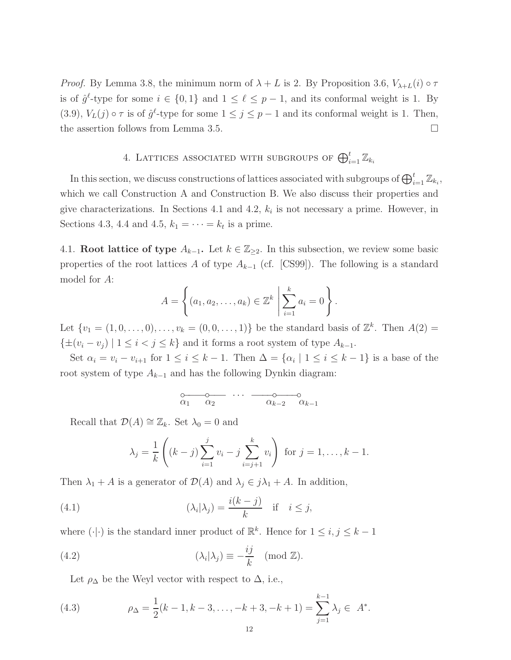*Proof.* By Lemma 3.8, the minimum norm of  $\lambda + L$  is 2. By Proposition 3.6,  $V_{\lambda + L}(i) \circ \tau$ is of  $\hat{g}^{\ell}$ -type for some  $i \in \{0,1\}$  and  $1 \leq \ell \leq p-1$ , and its conformal weight is 1. By (3.9),  $V_L(j) \circ \tau$  is of  $\hat{g}^{\ell}$ -type for some  $1 \leq j \leq p-1$  and its conformal weight is 1. Then, the assertion follows from Lemma 3.5.

# 4. LATTICES ASSOCIATED WITH SUBGROUPS OF  $\bigoplus_{i=1}^t \mathbb{Z}_{k_i}$

In this section, we discuss constructions of lattices associated with subgroups of  $\bigoplus_{i=1}^t \mathbb{Z}_{k_i}$ , which we call Construction A and Construction B. We also discuss their properties and give characterizations. In Sections 4.1 and 4.2,  $k_i$  is not necessary a prime. However, in Sections 4.3, 4.4 and 4.5,  $k_1 = \cdots = k_t$  is a prime.

4.1. **Root lattice of type**  $A_{k-1}$ . Let  $k \in \mathbb{Z}_{\geq 2}$ . In this subsection, we review some basic properties of the root lattices A of type  $A_{k-1}$  (cf. [CS99]). The following is a standard model for A:

$$
A = \left\{ (a_1, a_2, \dots, a_k) \in \mathbb{Z}^k \; \middle| \; \sum_{i=1}^k a_i = 0 \right\}.
$$

Let  $\{v_1 = (1, 0, \ldots, 0), \ldots, v_k = (0, 0, \ldots, 1)\}\$ be the standard basis of  $\mathbb{Z}^k$ . Then  $A(2) =$  $\{\pm(v_i - v_j) \mid 1 \leq i < j \leq k\}$  and it forms a root system of type  $A_{k-1}$ .

Set  $\alpha_i = v_i - v_{i+1}$  for  $1 \leq i \leq k-1$ . Then  $\Delta = {\alpha_i \mid 1 \leq i \leq k-1}$  is a base of the root system of type  $A_{k-1}$  and has the following Dynkin diagram:

$$
\begin{array}{ccc}\n\circ & \circ & \circ & \circ \\
\alpha_1 & \alpha_2 & \alpha_{k-2} & \alpha_{k-1}\n\end{array}
$$

Recall that  $\mathcal{D}(A) \cong \mathbb{Z}_k$ . Set  $\lambda_0 = 0$  and

$$
\lambda_j = \frac{1}{k} \left( (k-j) \sum_{i=1}^j v_i - j \sum_{i=j+1}^k v_i \right)
$$
 for  $j = 1, ..., k-1$ .

Then  $\lambda_1 + A$  is a generator of  $\mathcal{D}(A)$  and  $\lambda_j \in j\lambda_1 + A$ . In addition,

(4.1) 
$$
(\lambda_i|\lambda_j) = \frac{i(k-j)}{k} \quad \text{if} \quad i \leq j,
$$

where  $(\cdot | \cdot)$  is the standard inner product of  $\mathbb{R}^k$ . Hence for  $1 \leq i, j \leq k - 1$ 

(4.2) 
$$
(\lambda_i|\lambda_j) \equiv -\frac{ij}{k} \pmod{\mathbb{Z}}.
$$

Let  $\rho_{\Delta}$  be the Weyl vector with respect to  $\Delta$ , i.e.,

(4.3) 
$$
\rho_{\Delta} = \frac{1}{2}(k-1, k-3, \dots, -k+3, -k+1) = \sum_{j=1}^{k-1} \lambda_j \in A^*.
$$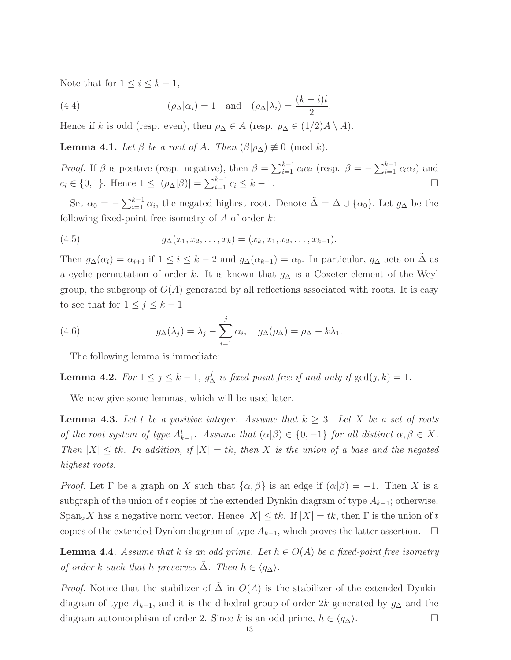Note that for  $1 \leq i \leq k-1$ ,

(4.4) 
$$
(\rho_{\Delta}|\alpha_i) = 1 \text{ and } (\rho_{\Delta}|\lambda_i) = \frac{(k-i)i}{2}.
$$

Hence if k is odd (resp. even), then  $\rho_{\Delta} \in A$  (resp.  $\rho_{\Delta} \in (1/2)A \setminus A$ ).

**Lemma 4.1.** *Let*  $\beta$  *be a root of A. Then*  $(\beta | \rho_{\Delta}) \not\equiv 0 \pmod{k}$ *.* 

*Proof.* If  $\beta$  is positive (resp. negative), then  $\beta = \sum_{i=1}^{k-1} c_i \alpha_i$  (resp.  $\beta = -\sum_{i=1}^{k-1} c_i \alpha_i$ ) and  $c_i \in \{0, 1\}.$  Hence  $1 \leq |(\rho_{\Delta}|\beta)| = \sum_{i=1}^{k-1} c_i \leq k-1.$ 

Set  $\alpha_0 = -\sum_{i=1}^{k-1} \alpha_i$ , the negated highest root. Denote  $\tilde{\Delta} = \Delta \cup \{\alpha_0\}$ . Let  $g_{\Delta}$  be the following fixed-point free isometry of  $A$  of order  $k$ :

(4.5) 
$$
g_{\Delta}(x_1, x_2, \ldots, x_k) = (x_k, x_1, x_2, \ldots, x_{k-1}).
$$

Then  $g_{\Delta}(\alpha_i) = \alpha_{i+1}$  if  $1 \leq i \leq k-2$  and  $g_{\Delta}(\alpha_{k-1}) = \alpha_0$ . In particular,  $g_{\Delta}$  acts on  $\tilde{\Delta}$  as a cyclic permutation of order k. It is known that  $g_{\Delta}$  is a Coxeter element of the Weyl group, the subgroup of  $O(A)$  generated by all reflections associated with roots. It is easy to see that for  $1 \leq j \leq k-1$ 

(4.6) 
$$
g_{\Delta}(\lambda_j) = \lambda_j - \sum_{i=1}^j \alpha_i, \quad g_{\Delta}(\rho_{\Delta}) = \rho_{\Delta} - k\lambda_1.
$$

The following lemma is immediate:

**Lemma 4.2.** *For*  $1 \leq j \leq k-1$ ,  $g^j_{\Delta}$  *is fixed-point free if and only if*  $gcd(j, k) = 1$ *.* 

We now give some lemmas, which will be used later.

**Lemma 4.3.** Let t be a positive integer. Assume that  $k \geq 3$ . Let X be a set of roots *of the root system of type*  $A_{k-1}^t$ . Assume that  $(\alpha|\beta) \in \{0,-1\}$  *for all distinct*  $\alpha, \beta \in X$ *. Then*  $|X| \leq tk$ *. In addition, if*  $|X| = tk$ *, then* X *is the union of a base and the negated highest roots.*

*Proof.* Let  $\Gamma$  be a graph on X such that  $\{\alpha, \beta\}$  is an edge if  $(\alpha | \beta) = -1$ . Then X is a subgraph of the union of t copies of the extended Dynkin diagram of type  $A_{k-1}$ ; otherwise,  $\text{Span}_{\mathbb{Z}} X$  has a negative norm vector. Hence  $|X| \leq tk$ . If  $|X| = tk$ , then  $\Gamma$  is the union of t copies of the extended Dynkin diagram of type  $A_{k-1}$ , which proves the latter assertion.  $\Box$ 

**Lemma 4.4.** Assume that k is an odd prime. Let  $h \in O(A)$  be a fixed-point free isometry *of order* k *such that* h *preserves*  $\tilde{\Delta}$ *. Then*  $h \in \langle g_{\Delta} \rangle$ *.* 

*Proof.* Notice that the stabilizer of  $\Delta$  in  $O(A)$  is the stabilizer of the extended Dynkin diagram of type  $A_{k-1}$ , and it is the dihedral group of order 2k generated by  $g_{\Delta}$  and the diagram automorphism of order 2. Since k is an odd prime,  $h \in \langle g_{\Delta} \rangle$ .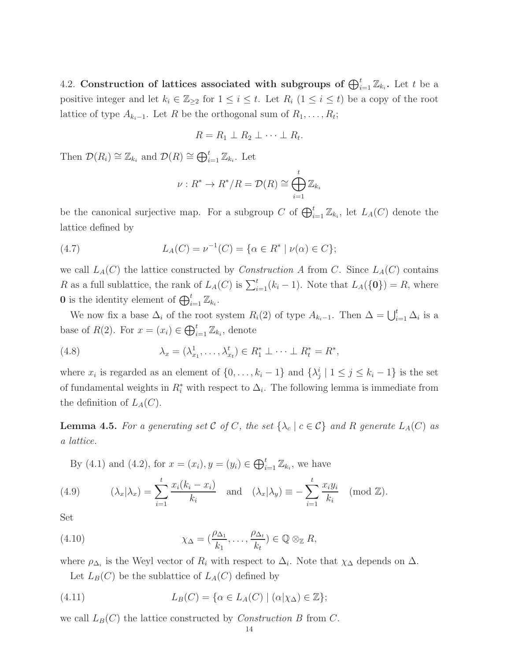4.2. Construction of lattices associated with subgroups of  $\bigoplus_{i=1}^t \mathbb{Z}_{k_i}$ . Let t be a positive integer and let  $k_i \in \mathbb{Z}_{\geq 2}$  for  $1 \leq i \leq t$ . Let  $R_i$   $(1 \leq i \leq t)$  be a copy of the root lattice of type  $A_{k_i-1}$ . Let R be the orthogonal sum of  $R_1, \ldots, R_t$ ;

$$
R=R_1\perp R_2\perp\cdots\perp R_t.
$$

Then  $\mathcal{D}(R_i) \cong \mathbb{Z}_{k_i}$  and  $\mathcal{D}(R) \cong \bigoplus_{i=1}^t \mathbb{Z}_{k_i}$ . Let

$$
\nu: R^* \to R^*/R = \mathcal{D}(R) \cong \bigoplus_{i=1}^t \mathbb{Z}_{k_i}
$$

be the canonical surjective map. For a subgroup C of  $\bigoplus_{i=1}^t \mathbb{Z}_{k_i}$ , let  $L_A(C)$  denote the lattice defined by

(4.7) 
$$
L_A(C) = \nu^{-1}(C) = \{ \alpha \in R^* \mid \nu(\alpha) \in C \};
$$

we call  $L_A(C)$  the lattice constructed by *Construction A* from C. Since  $L_A(C)$  contains R as a full sublattice, the rank of  $L_A(C)$  is  $\sum_{i=1}^t (k_i - 1)$ . Note that  $L_A(\{0\}) = R$ , where **0** is the identity element of  $\bigoplus_{i=1}^{t} \mathbb{Z}_{k_i}$ .

We now fix a base  $\Delta_i$  of the root system  $R_i(2)$  of type  $A_{k_i-1}$ . Then  $\Delta = \bigcup_{i=1}^t \Delta_i$  is a base of  $R(2)$ . For  $x = (x_i) \in \bigoplus_{i=1}^t \mathbb{Z}_{k_i}$ , denote

(4.8) 
$$
\lambda_x = (\lambda_{x_1}^1, \dots, \lambda_{x_t}^t) \in R_1^* \perp \dots \perp R_t^* = R^*,
$$

where  $x_i$  is regarded as an element of  $\{0, \ldots, k_i - 1\}$  and  $\{\lambda_j^i \mid 1 \le j \le k_i - 1\}$  is the set of fundamental weights in  $R_i^*$  with respect to  $\Delta_i$ . The following lemma is immediate from the definition of  $L_A(C)$ .

**Lemma 4.5.** For a generating set C of C, the set  $\{\lambda_c | c \in C\}$  and R generate  $L_A(C)$  as *a lattice.*

By (4.1) and (4.2), for  $x = (x_i)$ ,  $y = (y_i) \in \bigoplus_{i=1}^t \mathbb{Z}_{k_i}$ , we have

(4.9) 
$$
(\lambda_x|\lambda_x) = \sum_{i=1}^t \frac{x_i(k_i - x_i)}{k_i} \text{ and } (\lambda_x|\lambda_y) \equiv -\sum_{i=1}^t \frac{x_iy_i}{k_i} \pmod{\mathbb{Z}}.
$$

Set

(4.10) 
$$
\chi_{\Delta} = (\frac{\rho_{\Delta_1}}{k_1}, \dots, \frac{\rho_{\Delta_t}}{k_t}) \in \mathbb{Q} \otimes_{\mathbb{Z}} R,
$$

where  $\rho_{\Delta_i}$  is the Weyl vector of  $R_i$  with respect to  $\Delta_i$ . Note that  $\chi_{\Delta}$  depends on  $\Delta$ .

Let  $L_B(C)$  be the sublattice of  $L_A(C)$  defined by

(4.11) 
$$
L_B(C) = \{ \alpha \in L_A(C) \mid (\alpha|\chi_{\Delta}) \in \mathbb{Z} \};
$$

we call  $L_B(C)$  the lattice constructed by *Construction B* from C.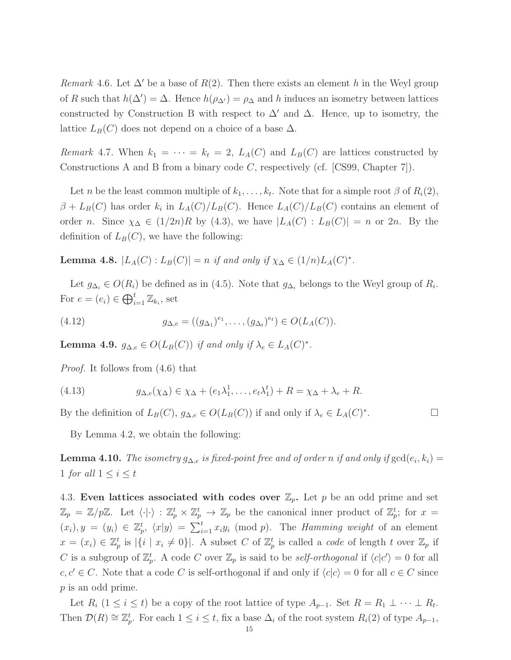*Remark* 4.6. Let  $\Delta'$  be a base of  $R(2)$ . Then there exists an element h in the Weyl group of R such that  $h(\Delta') = \Delta$ . Hence  $h(\rho_{\Delta'}) = \rho_{\Delta}$  and h induces an isometry between lattices constructed by Construction B with respect to  $\Delta'$  and  $\Delta$ . Hence, up to isometry, the lattice  $L_B(C)$  does not depend on a choice of a base  $\Delta$ .

*Remark* 4.7. When  $k_1 = \cdots = k_t = 2$ ,  $L_A(C)$  and  $L_B(C)$  are lattices constructed by Constructions A and B from a binary code C, respectively (cf.  $[CS99, Chapter 7]$ ).

Let *n* be the least common multiple of  $k_1, \ldots, k_t$ . Note that for a simple root  $\beta$  of  $R_i(2)$ ,  $\beta + L_B(C)$  has order  $k_i$  in  $L_A(C)/L_B(C)$ . Hence  $L_A(C)/L_B(C)$  contains an element of order n. Since  $\chi_{\Delta} \in (1/2n)R$  by (4.3), we have  $|L_A(C) : L_B(C)| = n$  or 2n. By the definition of  $L_B(C)$ , we have the following:

Lemma 4.8.  $|L_A(C): L_B(C)| = n$  *if and only if*  $\chi_{\Delta} \in (1/n)L_A(C)^*$ .

Let  $g_{\Delta_i} \in O(R_i)$  be defined as in (4.5). Note that  $g_{\Delta_i}$  belongs to the Weyl group of  $R_i$ . For  $e = (e_i) \in \bigoplus_{i=1}^t \mathbb{Z}_{k_i}$ , set

(4.12) 
$$
g_{\Delta,e} = ((g_{\Delta_1})^{e_1}, \dots, (g_{\Delta_t})^{e_t}) \in O(L_A(C)).
$$

**Lemma 4.9.**  $g_{\Delta,e} \in O(L_B(C))$  *if and only if*  $\lambda_e \in L_A(C)^*$ *.* 

*Proof.* It follows from (4.6) that

(4.13) 
$$
g_{\Delta,e}(\chi_{\Delta}) \in \chi_{\Delta} + (e_1 \lambda_1^1, \dots, e_t \lambda_1^t) + R = \chi_{\Delta} + \lambda_e + R.
$$

By the definition of  $L_B(C)$ ,  $g_{\Delta,e} \in O(L_B(C))$  if and only if  $\lambda_e \in L_A(C)^*$ .

By Lemma 4.2, we obtain the following:

**Lemma 4.10.** *The isometry*  $g_{\Delta,e}$  *is fixed-point free and of order n if and only if*  $gcd(e_i, k_i)$  = 1 *for all*  $1 \leq i \leq t$ 

4.3. Even lattices associated with codes over  $\mathbb{Z}_p$ . Let p be an odd prime and set  $\mathbb{Z}_p = \mathbb{Z}/p\mathbb{Z}$ . Let  $\langle \cdot | \cdot \rangle : \mathbb{Z}_p^t \times \mathbb{Z}_p^t \to \mathbb{Z}_p$  be the canonical inner product of  $\mathbb{Z}_p^t$ ; for  $x =$  $(x_i), y = (y_i) \in \mathbb{Z}_p^t$ ,  $\langle x | y \rangle = \sum_{i=1}^t x_i y_i \pmod{p}$ . The *Hamming weight* of an element  $x = (x_i) \in \mathbb{Z}_p^t$  is  $|\{i \mid x_i \neq 0\}|$ . A subset C of  $\mathbb{Z}_p^t$  is called a *code* of length t over  $\mathbb{Z}_p$  if C is a subgroup of  $\mathbb{Z}_p^t$ . A code C over  $\mathbb{Z}_p$  is said to be *self-orthogonal* if  $\langle c|c'\rangle = 0$  for all  $c, c' \in C$ . Note that a code C is self-orthogonal if and only if  $\langle c | c \rangle = 0$  for all  $c \in C$  since p is an odd prime.

Let  $R_i$   $(1 \leq i \leq t)$  be a copy of the root lattice of type  $A_{p-1}$ . Set  $R = R_1 \perp \cdots \perp R_t$ . Then  $\mathcal{D}(R) \cong \mathbb{Z}_p^t$ . For each  $1 \leq i \leq t$ , fix a base  $\Delta_i$  of the root system  $R_i(2)$  of type  $A_{p-1}$ ,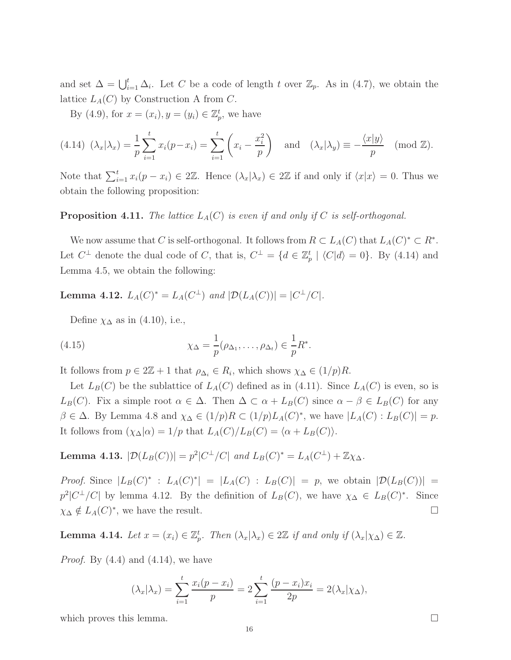and set  $\Delta = \bigcup_{i=1}^t \Delta_i$ . Let C be a code of length t over  $\mathbb{Z}_p$ . As in (4.7), we obtain the lattice  $L_A(C)$  by Construction A from C.

By (4.9), for  $x = (x_i)$ ,  $y = (y_i) \in \mathbb{Z}_p^t$ , we have

$$
(4.14)\ (\lambda_x|\lambda_x) = \frac{1}{p}\sum_{i=1}^t x_i(p-x_i) = \sum_{i=1}^t \left(x_i - \frac{x_i^2}{p}\right) \text{ and } (\lambda_x|\lambda_y) \equiv -\frac{\langle x|y\rangle}{p} \pmod{\mathbb{Z}}.
$$

Note that  $\sum_{i=1}^{t} x_i(p-x_i) \in 2\mathbb{Z}$ . Hence  $(\lambda_x|\lambda_x) \in 2\mathbb{Z}$  if and only if  $\langle x|x \rangle = 0$ . Thus we obtain the following proposition:

**Proposition 4.11.** *The lattice*  $L_A(C)$  *is even if and only if* C *is self-orthogonal.* 

We now assume that C is self-orthogonal. It follows from  $R \subset L_A(C)$  that  $L_A(C)^* \subset R^*$ . Let  $C^{\perp}$  denote the dual code of C, that is,  $C^{\perp} = \{d \in \mathbb{Z}_p^t \mid \langle C | d \rangle = 0\}$ . By (4.14) and Lemma 4.5, we obtain the following:

Lemma 4.12.  $L_A(C)^* = L_A(C^{\perp})$  and  $|\mathcal{D}(L_A(C))| = |C^{\perp}/C|$ .

Define  $\chi_{\Delta}$  as in (4.10), i.e.,

(4.15) 
$$
\chi_{\Delta} = \frac{1}{p}(\rho_{\Delta_1}, \dots, \rho_{\Delta_t}) \in \frac{1}{p}R^*.
$$

It follows from  $p \in 2\mathbb{Z} + 1$  that  $\rho_{\Delta_i} \in R_i$ , which shows  $\chi_{\Delta} \in (1/p)R$ .

Let  $L_B(C)$  be the sublattice of  $L_A(C)$  defined as in (4.11). Since  $L_A(C)$  is even, so is  $L_B(C)$ . Fix a simple root  $\alpha \in \Delta$ . Then  $\Delta \subset \alpha + L_B(C)$  since  $\alpha - \beta \in L_B(C)$  for any  $\beta \in \Delta$ . By Lemma 4.8 and  $\chi_{\Delta} \in (1/p)R \subset (1/p)L_A(C)^*$ , we have  $|L_A(C): L_B(C)| = p$ . It follows from  $(\chi_{\Delta}|\alpha) = 1/p$  that  $L_A(C)/L_B(C) = \langle \alpha + L_B(C) \rangle$ .

Lemma 4.13.  $|\mathcal{D}(L_B(C))| = p^2|C^{\perp}/C|$  and  $L_B(C)^* = L_A(C^{\perp}) + \mathbb{Z}\chi_{\Delta}$ .

*Proof.* Since  $|L_B(C)^* : L_A(C)^*| = |L_A(C) : L_B(C)| = p$ , we obtain  $|\mathcal{D}(L_B(C))|$  $p^2|C^{\perp}/C|$  by lemma 4.12. By the definition of  $L_B(C)$ , we have  $\chi_{\Delta} \in L_B(C)^*$ . Since  $\chi_{\Delta} \notin L_A(C)^*$ , we have the result.

**Lemma 4.14.** *Let*  $x = (x_i) \in \mathbb{Z}_p^t$ . *Then*  $(\lambda_x | \lambda_x) \in 2\mathbb{Z}$  *if and only if*  $(\lambda_x | \chi_{\Delta}) \in \mathbb{Z}$ .

*Proof.* By (4.4) and (4.14), we have

$$
(\lambda_x|\lambda_x) = \sum_{i=1}^t \frac{x_i(p-x_i)}{p} = 2\sum_{i=1}^t \frac{(p-x_i)x_i}{2p} = 2(\lambda_x|\chi_{\Delta}),
$$

which proves this lemma.  $\Box$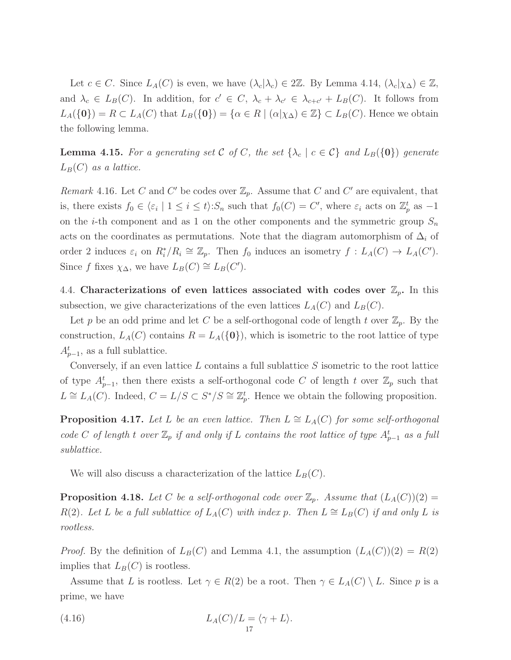Let  $c \in C$ . Since  $L_A(C)$  is even, we have  $(\lambda_c | \lambda_c) \in 2\mathbb{Z}$ . By Lemma 4.14,  $(\lambda_c | \chi_{\Delta}) \in \mathbb{Z}$ , and  $\lambda_c \in L_B(C)$ . In addition, for  $c' \in C$ ,  $\lambda_c + \lambda_{c'} \in \lambda_{c+c'} + L_B(C)$ . It follows from  $L_A(\{0\}) = R \subset L_A(C)$  that  $L_B(\{0\}) = \{\alpha \in R \mid (\alpha|\chi_{\Delta}) \in \mathbb{Z}\} \subset L_B(C)$ . Hence we obtain the following lemma.

**Lemma 4.15.** For a generating set C of C, the set  $\{\lambda_c \mid c \in C\}$  and  $L_B(\{0\})$  generate  $L_B(C)$  *as a lattice.* 

*Remark* 4.16. Let C and C' be codes over  $\mathbb{Z}_p$ . Assume that C and C' are equivalent, that is, there exists  $f_0 \in \langle \varepsilon_i | 1 \le i \le t \rangle : S_n$  such that  $f_0(C) = C'$ , where  $\varepsilon_i$  acts on  $\mathbb{Z}_p^t$  as  $-1$ on the *i*-th component and as 1 on the other components and the symmetric group  $S_n$ acts on the coordinates as permutations. Note that the diagram automorphism of  $\Delta_i$  of order 2 induces  $\varepsilon_i$  on  $R_i^*/R_i \cong \mathbb{Z}_p$ . Then  $f_0$  induces an isometry  $f: L_A(C) \to L_A(C')$ . Since f fixes  $\chi_{\Delta}$ , we have  $L_B(C) \cong L_B(C')$ .

4.4. Characterizations of even lattices associated with codes over  $\mathbb{Z}_p$ . In this subsection, we give characterizations of the even lattices  $L_A(C)$  and  $L_B(C)$ .

Let p be an odd prime and let C be a self-orthogonal code of length t over  $\mathbb{Z}_p$ . By the construction,  $L_A(C)$  contains  $R = L_A(\{0\})$ , which is isometric to the root lattice of type  $A_{p-1}^t$ , as a full sublattice.

Conversely, if an even lattice  $L$  contains a full sublattice  $S$  isometric to the root lattice of type  $A_{p-1}^t$ , then there exists a self-orthogonal code C of length t over  $\mathbb{Z}_p$  such that  $L \cong L_A(C)$ . Indeed,  $C = L/S \subset S^*/S \cong \mathbb{Z}_p^t$ . Hence we obtain the following proposition.

**Proposition 4.17.** Let L be an even lattice. Then  $L \cong L<sub>A</sub>(C)$  for some self-orthogonal *code* C of length t over  $\mathbb{Z}_p$  if and only if L contains the root lattice of type  $A_{p-1}^t$  as a full *sublattice.*

We will also discuss a characterization of the lattice  $L_B(C)$ .

**Proposition 4.18.** Let C be a self-orthogonal code over  $\mathbb{Z}_p$ . Assume that  $(L_A(C))(2)$ R(2)*.* Let L be a full sublattice of  $L_A(C)$  with index p. Then  $L \cong L_B(C)$  if and only L is *rootless.*

*Proof.* By the definition of  $L_B(C)$  and Lemma 4.1, the assumption  $(L_A(C))(2) = R(2)$ implies that  $L_B(C)$  is rootless.

Assume that L is rootless. Let  $\gamma \in R(2)$  be a root. Then  $\gamma \in L_A(C) \setminus L$ . Since p is a prime, we have

(4.16) 
$$
L_A(C)/L = \langle \gamma + L \rangle.
$$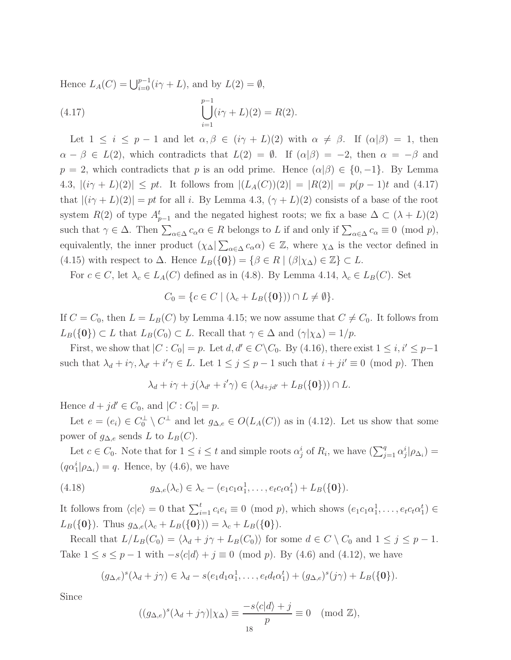Hence  $L_A(C) = \bigcup_{i=0}^{p-1} (i\gamma + L)$ , and by  $L(2) = \emptyset$ ,

(4.17) 
$$
\bigcup_{i=1}^{p-1} (i\gamma + L)(2) = R(2).
$$

Let  $1 \leq i \leq p-1$  and let  $\alpha, \beta \in (i\gamma + L)(2)$  with  $\alpha \neq \beta$ . If  $(\alpha|\beta) = 1$ , then  $\alpha - \beta \in L(2)$ , which contradicts that  $L(2) = \emptyset$ . If  $(\alpha|\beta) = -2$ , then  $\alpha = -\beta$  and  $p = 2$ , which contradicts that p is an odd prime. Hence  $(\alpha | \beta) \in \{0, -1\}$ . By Lemma 4.3,  $|(i\gamma + L)(2)| \leq pt$ . It follows from  $|(L_A(C))(2)| = |R(2)| = p(p-1)t$  and (4.17) that  $|(i\gamma + L)(2)| = pt$  for all i. By Lemma 4.3,  $(\gamma + L)(2)$  consists of a base of the root system  $R(2)$  of type  $A_{p-1}^t$  and the negated highest roots; we fix a base  $\Delta \subset (\lambda + L)(2)$ such that  $\gamma \in \Delta$ . Then  $\sum_{\alpha \in \Delta} c_{\alpha} \alpha \in R$  belongs to L if and only if  $\sum_{\alpha \in \Delta} c_{\alpha} \equiv 0 \pmod{p}$ , equivalently, the inner product  $(\chi_{\Delta} | \sum_{\alpha \in \Delta} c_{\alpha} \alpha) \in \mathbb{Z}$ , where  $\chi_{\Delta}$  is the vector defined in (4.15) with respect to  $\Delta$ . Hence  $L_B({\{0\}}) = {\{\beta \in R \mid (\beta|\chi_{\Delta}) \in \mathbb{Z}\}} \subset L$ .

For  $c \in C$ , let  $\lambda_c \in L_A(C)$  defined as in (4.8). By Lemma 4.14,  $\lambda_c \in L_B(C)$ . Set

$$
C_0 = \{c \in C \mid (\lambda_c + L_B(\{0\})) \cap L \neq \emptyset\}.
$$

If  $C = C_0$ , then  $L = L_B(C)$  by Lemma 4.15; we now assume that  $C \neq C_0$ . It follows from  $L_B({\{0\}}) \subset L$  that  $L_B(C_0) \subset L$ . Recall that  $\gamma \in \Delta$  and  $(\gamma|\chi_{\Delta}) = 1/p$ .

First, we show that  $|C: C_0| = p$ . Let  $d, d' \in C \backslash C_0$ . By (4.16), there exist  $1 \leq i, i' \leq p-1$ such that  $\lambda_d + i\gamma$ ,  $\lambda_{d'} + i'\gamma \in L$ . Let  $1 \leq j \leq p-1$  such that  $i + ji' \equiv 0 \pmod{p}$ . Then

$$
\lambda_d + i\gamma + j(\lambda_{d'} + i'\gamma) \in (\lambda_{d+jd'} + L_B(\{\mathbf{0}\})) \cap L.
$$

Hence  $d + jd' \in C_0$ , and  $|C : C_0| = p$ .

Let  $e = (e_i) \in C_0^{\perp} \setminus C^{\perp}$  and let  $g_{\Delta,e} \in O(L_A(C))$  as in (4.12). Let us show that some power of  $g_{\Delta,e}$  sends L to  $L_B(C)$ .

Let  $c \in C_0$ . Note that for  $1 \leq i \leq t$  and simple roots  $\alpha_j^i$  of  $R_i$ , we have  $(\sum_{j=1}^q \alpha_j^i | \rho_{\Delta_i}) =$  $(q\alpha_1^i|\rho_{\Delta_i})=q$ . Hence, by (4.6), we have

(4.18) 
$$
g_{\Delta,e}(\lambda_c) \in \lambda_c - (e_1 c_1 \alpha_1^1, \dots, e_t c_t \alpha_1^t) + L_B(\{0\}).
$$

It follows from  $\langle c|e \rangle = 0$  that  $\sum_{i=1}^{t} c_i e_i \equiv 0 \pmod{p}$ , which shows  $(e_1 c_1 \alpha_1^1, \ldots, e_t c_t \alpha_1^t) \in$  $L_B({\{0\}})$ . Thus  $g_{\Delta,e}(\lambda_c + L_B({\{0\}})) = \lambda_c + L_B({\{0\}}).$ 

Recall that  $L/L_B(C_0) = \langle \lambda_d + j\gamma + L_B(C_0) \rangle$  for some  $d \in C \setminus C_0$  and  $1 \leq j \leq p - 1$ . Take  $1 \leq s \leq p-1$  with  $-s\langle c|d\rangle + j \equiv 0 \pmod{p}$ . By (4.6) and (4.12), we have

$$
(g_{\Delta,e})^s(\lambda_d+j\gamma)\in\lambda_d-s(e_1d_1\alpha_1^1,\ldots,e_td_t\alpha_1^t)+(g_{\Delta,e})^s(j\gamma)+L_B(\{\mathbf{0}\}).
$$

Since

$$
((g_{\Delta,e})^s(\lambda_d+j\gamma)|\chi_{\Delta}) \equiv \frac{-s\langle c|d\rangle + j}{p} \equiv 0 \pmod{\mathbb{Z}},
$$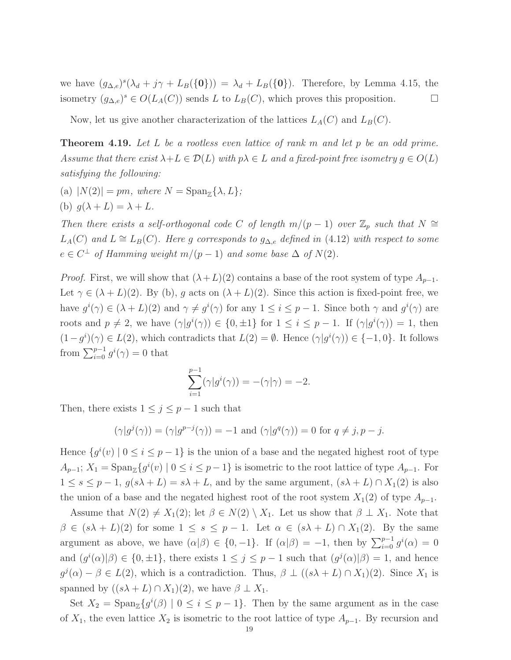we have  $(g_{\Delta,e})^s(\lambda_d+j\gamma+L_B(\{0\})) = \lambda_d+L_B(\{0\}).$  Therefore, by Lemma 4.15, the isometry  $(g_{\Delta,e})^s$  ∈  $O(L_A(C))$  sends L to  $L_B(C)$ , which proves this proposition.  $\Box$ 

Now, let us give another characterization of the lattices  $L_A(C)$  and  $L_B(C)$ .

Theorem 4.19. *Let* L *be a rootless even lattice of rank* m *and let* p *be an odd prime. Assume that there exist*  $\lambda + L \in \mathcal{D}(L)$  *with*  $p\lambda \in L$  *and a fixed-point free isometry*  $g \in O(L)$ *satisfying the following:*

(a)  $|N(2)| = pm$ , where  $N = \text{Span}_{\mathbb{Z}}\{\lambda, L\}$ ;

(b) 
$$
g(\lambda + L) = \lambda + L
$$
.

*Then there exists a self-orthogonal code* C *of length*  $m/(p-1)$  *over*  $\mathbb{Z}_p$  *such that*  $N \cong$  $L_A(C)$  *and*  $L \cong L_B(C)$ *. Here* g *corresponds to*  $g_{\Delta,e}$  *defined in* (4.12) *with respect to some*  $e \in C^{\perp}$  *of Hamming weight*  $m/(p-1)$  *and some base*  $\Delta$  *of*  $N(2)$ *.* 

*Proof.* First, we will show that  $(\lambda + L)(2)$  contains a base of the root system of type  $A_{p-1}$ . Let  $\gamma \in (\lambda + L)(2)$ . By (b), g acts on  $(\lambda + L)(2)$ . Since this action is fixed-point free, we have  $g^{i}(\gamma) \in (\lambda + L)(2)$  and  $\gamma \neq g^{i}(\gamma)$  for any  $1 \leq i \leq p - 1$ . Since both  $\gamma$  and  $g^{i}(\gamma)$  are roots and  $p \neq 2$ , we have  $(\gamma | g^{i}(\gamma)) \in \{0, \pm 1\}$  for  $1 \leq i \leq p-1$ . If  $(\gamma | g^{i}(\gamma)) = 1$ , then  $(1-g^{i})(\gamma) \in L(2)$ , which contradicts that  $L(2) = \emptyset$ . Hence  $(\gamma | g^{i}(\gamma)) \in \{-1, 0\}$ . It follows from  $\sum_{i=0}^{p-1} g^i(\gamma) = 0$  that

$$
\sum_{i=1}^{p-1} (\gamma |g^i(\gamma)) = -(\gamma |\gamma) = -2.
$$

Then, there exists  $1 \leq j \leq p-1$  such that

$$
(\gamma|g^{j}(\gamma)) = (\gamma|g^{p-j}(\gamma)) = -1 \text{ and } (\gamma|g^{q}(\gamma)) = 0 \text{ for } q \neq j, p-j.
$$

Hence  $\{g^{i}(v) \mid 0 \leq i \leq p-1\}$  is the union of a base and the negated highest root of type  $A_{p-1}$ ;  $X_1 = \text{Span}_{\mathbb{Z}}\{g^i(v) \mid 0 \leq i \leq p-1\}$  is isometric to the root lattice of type  $A_{p-1}$ . For  $1 \leq s \leq p-1$ ,  $g(s\lambda + L) = s\lambda + L$ , and by the same argument,  $(s\lambda + L) \cap X_1(2)$  is also the union of a base and the negated highest root of the root system  $X_1(2)$  of type  $A_{p-1}$ .

Assume that  $N(2) \neq X_1(2)$ ; let  $\beta \in N(2) \setminus X_1$ . Let us show that  $\beta \perp X_1$ . Note that  $\beta \in (s\lambda + L)(2)$  for some  $1 \leq s \leq p - 1$ . Let  $\alpha \in (s\lambda + L) \cap X_1(2)$ . By the same argument as above, we have  $(\alpha|\beta) \in \{0,-1\}$ . If  $(\alpha|\beta) = -1$ , then by  $\sum_{i=0}^{p-1} g^i(\alpha) = 0$ and  $(g^{i}(\alpha)|\beta) \in \{0, \pm 1\}$ , there exists  $1 \leq j \leq p-1$  such that  $(g^{j}(\alpha)|\beta) = 1$ , and hence  $g^{j}(\alpha) - \beta \in L(2)$ , which is a contradiction. Thus,  $\beta \perp ((s\lambda + L) \cap X_1)(2)$ . Since  $X_1$  is spanned by  $((s\lambda + L) \cap X_1)(2)$ , we have  $\beta \perp X_1$ .

Set  $X_2 = \text{Span}_{\mathbb{Z}}\{g^i(\beta) \mid 0 \leq i \leq p-1\}$ . Then by the same argument as in the case of  $X_1$ , the even lattice  $X_2$  is isometric to the root lattice of type  $A_{p-1}$ . By recursion and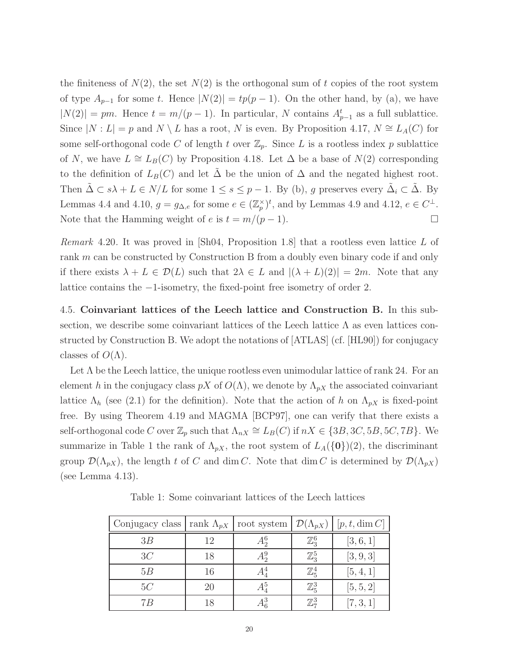the finiteness of  $N(2)$ , the set  $N(2)$  is the orthogonal sum of t copies of the root system of type  $A_{p-1}$  for some t. Hence  $|N(2)| = tp(p-1)$ . On the other hand, by (a), we have  $|N(2)| = pm$ . Hence  $t = m/(p-1)$ . In particular, N contains  $A_{p-1}^t$  as a full sublattice. Since  $|N : L| = p$  and  $N \setminus L$  has a root, N is even. By Proposition 4.17,  $N \cong L<sub>A</sub>(C)$  for some self-orthogonal code C of length t over  $\mathbb{Z}_p$ . Since L is a rootless index p sublattice of N, we have  $L \cong L_B(C)$  by Proposition 4.18. Let  $\Delta$  be a base of  $N(2)$  corresponding to the definition of  $L_B(C)$  and let  $\Delta$  be the union of  $\Delta$  and the negated highest root. Then  $\tilde{\Delta} \subset s\lambda + L \in N/L$  for some  $1 \leq s \leq p-1$ . By (b), g preserves every  $\tilde{\Delta}_i \subset \tilde{\Delta}$ . By Lemmas 4.4 and 4.10,  $g = g_{\Delta,e}$  for some  $e \in (\mathbb{Z}_p^{\times})^t$ , and by Lemmas 4.9 and 4.12,  $e \in C^{\perp}$ . Note that the Hamming weight of e is  $t = m/(p-1)$ .

*Remark* 4.20*.* It was proved in [Sh04, Proposition 1.8] that a rootless even lattice L of rank m can be constructed by Construction B from a doubly even binary code if and only if there exists  $\lambda + L \in \mathcal{D}(L)$  such that  $2\lambda \in L$  and  $|(\lambda + L)(2)| = 2m$ . Note that any lattice contains the −1-isometry, the fixed-point free isometry of order 2.

4.5. Coinvariant lattices of the Leech lattice and Construction B. In this subsection, we describe some coinvariant lattices of the Leech lattice  $\Lambda$  as even lattices constructed by Construction B. We adopt the notations of [ATLAS] (cf. [HL90]) for conjugacy classes of  $O(\Lambda)$ .

Let  $\Lambda$  be the Leech lattice, the unique rootless even unimodular lattice of rank 24. For an element h in the conjugacy class  $pX$  of  $O(\Lambda)$ , we denote by  $\Lambda_{pX}$  the associated coinvariant lattice  $\Lambda_h$  (see (2.1) for the definition). Note that the action of h on  $\Lambda_{pX}$  is fixed-point free. By using Theorem 4.19 and MAGMA [BCP97], one can verify that there exists a self-orthogonal code C over  $\mathbb{Z}_p$  such that  $\Lambda_{nX} \cong L_B(C)$  if  $nX \in \{3B, 3C, 5B, 5C, 7B\}$ . We summarize in Table 1 the rank of  $\Lambda_{pX}$ , the root system of  $L_A(\{0\})(2)$ , the discriminant group  $\mathcal{D}(\Lambda_{pX})$ , the length t of C and dim C. Note that dim C is determined by  $\mathcal{D}(\Lambda_{pX})$ (see Lemma 4.13).

| Conjugacy class $\vert$ rank $\Lambda_{pX}$ |    | root system | $\mathcal{D}(\Lambda_{pX})$ | $[p, t, \dim C]$ |
|---------------------------------------------|----|-------------|-----------------------------|------------------|
| 3B                                          | 12 | $A_2^6$     | $\mathbb{Z}_3^6$            | [3, 6, 1]        |
| 3C                                          | 18 | $A_2^9$     | $\mathbb{Z}_3^5$            | [3, 9, 3]        |
| 5B                                          | 16 |             | $\mathbb{Z}_5^4$            | [5, 4, 1]        |
| 5C                                          | 20 | Аă          | $\mathbb{Z}_5^3$            | [5, 5, 2]        |
| 7 B                                         | 18 |             | $\mathbb{Z}_7^3$            | [7, 3, 1]        |

Table 1: Some coinvariant lattices of the Leech lattices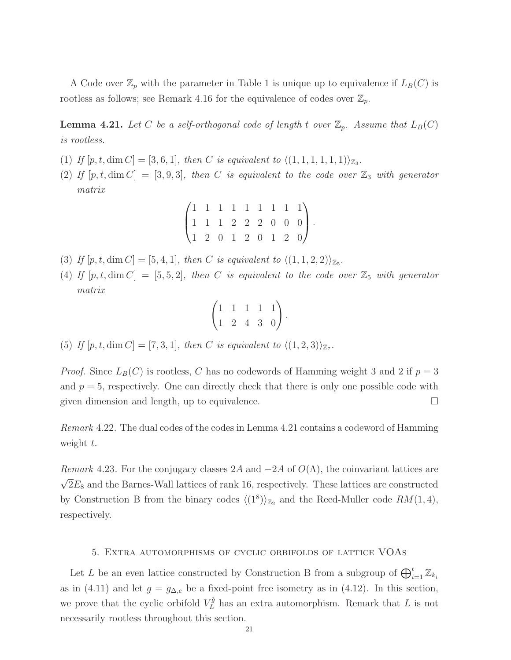A Code over  $\mathbb{Z}_p$  with the parameter in Table 1 is unique up to equivalence if  $L_B(C)$  is rootless as follows; see Remark 4.16 for the equivalence of codes over  $\mathbb{Z}_p$ .

**Lemma 4.21.** Let C be a self-orthogonal code of length t over  $\mathbb{Z}_p$ . Assume that  $L_B(C)$ *is rootless.*

- (1) If  $[p, t, \dim C] = [3, 6, 1]$ , then C is equivalent to  $\langle (1, 1, 1, 1, 1, 1)\rangle_{\mathbb{Z}_3}$ .
- $(2)$  *If*  $[p, t, \dim C] = [3, 9, 3]$ *, then C is equivalent to the code over*  $\mathbb{Z}_3$  *with generator matrix*

|  |  |  |  | $\begin{pmatrix} 1 & 1 & 1 & 1 & 1 & 1 & 1 & 1 & 1 \end{pmatrix}$ |  |
|--|--|--|--|-------------------------------------------------------------------|--|
|  |  |  |  | $1 1 1 2 2 2 0 0 0$ .                                             |  |
|  |  |  |  | $\begin{pmatrix} 1 & 2 & 0 & 1 & 2 & 0 & 1 & 2 & 0 \end{pmatrix}$ |  |

- (3) If  $[p, t, \dim C] = [5, 4, 1]$ , then C is equivalent to  $\langle (1, 1, 2, 2) \rangle_{\mathbb{Z}_5}$ .
- (4) If  $[p, t, \dim C] = [5, 5, 2]$ , then C is equivalent to the code over  $\mathbb{Z}_5$  with generator *matrix*

$$
\begin{pmatrix} 1 & 1 & 1 & 1 & 1 \\ 1 & 2 & 4 & 3 & 0 \end{pmatrix}.
$$

(5) If  $[p, t, \dim C] = [7, 3, 1]$ , then C is equivalent to  $\langle (1, 2, 3) \rangle_{\mathbb{Z}_7}$ .

*Proof.* Since  $L_B(C)$  is rootless, C has no codewords of Hamming weight 3 and 2 if  $p = 3$ and  $p = 5$ , respectively. One can directly check that there is only one possible code with given dimension and length, up to equivalence.  $\Box$ 

*Remark* 4.22*.* The dual codes of the codes in Lemma 4.21 contains a codeword of Hamming weight t.

*Remark* 4.23. For the conjugacy classes 2A and  $-2A$  of  $O(\Lambda)$ , the coinvariant lattices are  $\sqrt{2}E_8$  and the Barnes-Wall lattices of rank 16, respectively. These lattices are constructed by Construction B from the binary codes  $\langle (1^8) \rangle_{\mathbb{Z}_2}$  and the Reed-Muller code  $RM(1, 4)$ , respectively.

## 5. Extra automorphisms of cyclic orbifolds of lattice VOAs

Let L be an even lattice constructed by Construction B from a subgroup of  $\bigoplus_{i=1}^t \mathbb{Z}_{k_i}$ as in (4.11) and let  $g = g_{\Delta,e}$  be a fixed-point free isometry as in (4.12). In this section, we prove that the cyclic orbifold  $V_L^{\hat{g}}$  has an extra automorphism. Remark that L is not necessarily rootless throughout this section.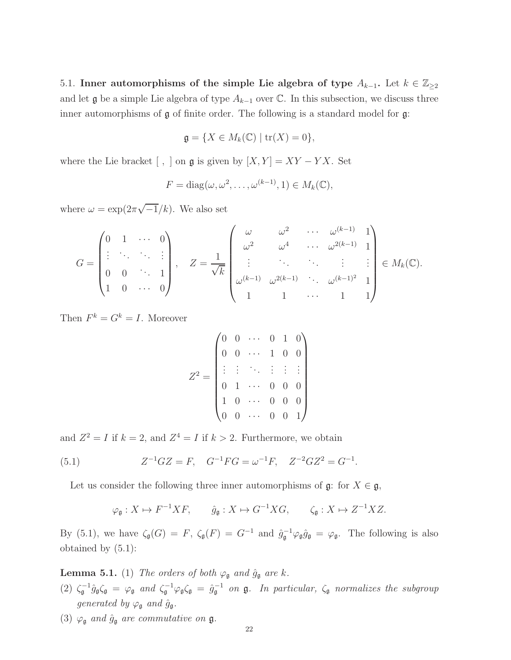5.1. Inner automorphisms of the simple Lie algebra of type  $A_{k-1}$ . Let  $k \in \mathbb{Z}_{\geq 2}$ and let  $\mathfrak g$  be a simple Lie algebra of type  $A_{k-1}$  over  $\mathbb C$ . In this subsection, we discuss three inner automorphisms of  $\mathfrak g$  of finite order. The following is a standard model for  $\mathfrak g$ :

$$
\mathfrak{g} = \{ X \in M_k(\mathbb{C}) \mid \text{tr}(X) = 0 \},
$$

where the Lie bracket  $[ , ]$  on  $\mathfrak g$  is given by  $[X, Y] = XY - YX$ . Set

$$
F = \text{diag}(\omega, \omega^2, \dots, \omega^{(k-1)}, 1) \in M_k(\mathbb{C}),
$$

where  $\omega = \exp(2\pi\sqrt{-1}/k)$ . We also set

$$
G = \begin{pmatrix} 0 & 1 & \cdots & 0 \\ \vdots & \ddots & \ddots & \vdots \\ 0 & 0 & \ddots & 1 \\ 1 & 0 & \cdots & 0 \end{pmatrix}, \quad Z = \frac{1}{\sqrt{k}} \begin{pmatrix} \omega & \omega^2 & \cdots & \omega^{(k-1)} & 1 \\ \omega^2 & \omega^4 & \cdots & \omega^{2(k-1)} & 1 \\ \vdots & \ddots & \ddots & \vdots & \vdots \\ \omega^{(k-1)} & \omega^{2(k-1)} & \cdots & \omega^{(k-1)^2} & 1 \\ 1 & 1 & \cdots & 1 & 1 \end{pmatrix} \in M_k(\mathbb{C}).
$$

Then  $F^k = G^k = I$ . Moreover

$$
Z^{2} = \begin{pmatrix} 0 & 0 & \cdots & 0 & 1 & 0 \\ 0 & 0 & \cdots & 1 & 0 & 0 \\ \vdots & \vdots & \ddots & \vdots & \vdots & \vdots \\ 0 & 1 & \cdots & 0 & 0 & 0 \\ 1 & 0 & \cdots & 0 & 0 & 0 \\ 0 & 0 & \cdots & 0 & 0 & 1 \end{pmatrix}
$$

and  $Z^2 = I$  if  $k = 2$ , and  $Z^4 = I$  if  $k > 2$ . Furthermore, we obtain

(5.1) 
$$
Z^{-1}GZ = F, \quad G^{-1}FG = \omega^{-1}F, \quad Z^{-2}GZ^{2} = G^{-1}.
$$

Let us consider the following three inner automorphisms of  $\mathfrak{g}$ : for  $X \in \mathfrak{g}$ ,

$$
\varphi_{\mathfrak{g}}: X \mapsto F^{-1}XF, \qquad \hat{g}_{\mathfrak{g}}: X \mapsto G^{-1}XG, \qquad \zeta_{\mathfrak{g}}: X \mapsto Z^{-1}XZ.
$$

By (5.1), we have  $\zeta_{\mathfrak{g}}(G) = F$ ,  $\zeta_{\mathfrak{g}}(F) = G^{-1}$  and  $\hat{g}_{\mathfrak{g}}^{-1} \varphi_{\mathfrak{g}} \hat{g}_{\mathfrak{g}} = \varphi_{\mathfrak{g}}$ . The following is also obtained by  $(5.1)$ :

**Lemma 5.1.** (1) *The orders of both*  $\varphi_{\mathfrak{g}}$  *and*  $\hat{g}_{\mathfrak{g}}$  *are k*.

- (2)  $\zeta_{\mathfrak{g}}^{-1}\hat{g}_{\mathfrak{g}}\zeta_{\mathfrak{g}} = \varphi_{\mathfrak{g}}$  and  $\zeta_{\mathfrak{g}}^{-1}\varphi_{\mathfrak{g}}\zeta_{\mathfrak{g}} = \hat{g}_{\mathfrak{g}}^{-1}$  on  $\mathfrak{g}$ . In particular,  $\zeta_{\mathfrak{g}}$  normalizes the subgroup *generated by*  $\varphi_{\mathfrak{g}}$  *and*  $\hat{g}_{\mathfrak{g}}$ *.*
- (3)  $\varphi_{\mathfrak{g}}$  *and*  $\hat{g}_{\mathfrak{g}}$  *are commutative on* **g**.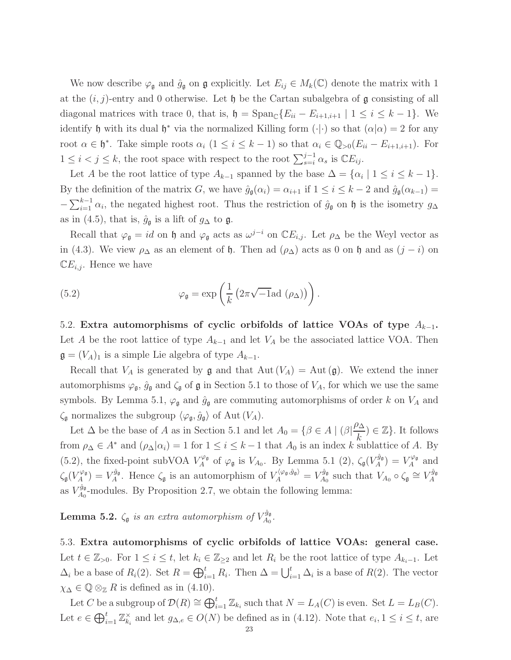We now describe  $\varphi_{\mathfrak{g}}$  and  $\hat{g}_{\mathfrak{g}}$  on  $\mathfrak{g}$  explicitly. Let  $E_{ij} \in M_k(\mathbb{C})$  denote the matrix with 1 at the  $(i, j)$ -entry and 0 otherwise. Let  $\mathfrak h$  be the Cartan subalgebra of  $\mathfrak g$  consisting of all diagonal matrices with trace 0, that is,  $\mathfrak{h} = \text{Span}_{\mathbb{C}}\{E_{ii} - E_{i+1,i+1} \mid 1 \leq i \leq k-1\}$ . We identify  $\mathfrak h$  with its dual  $\mathfrak h^*$  via the normalized Killing form  $(\cdot | \cdot)$  so that  $(\alpha | \alpha) = 2$  for any root  $\alpha \in \mathfrak{h}^*$ . Take simple roots  $\alpha_i$   $(1 \leq i \leq k-1)$  so that  $\alpha_i \in \mathbb{Q}_{>0}(E_{ii}-E_{i+1,i+1})$ . For  $1 \leq i < j \leq k$ , the root space with respect to the root  $\sum_{s=i}^{j-1} \alpha_s$  is  $\mathbb{C}E_{ij}$ .

Let A be the root lattice of type  $A_{k-1}$  spanned by the base  $\Delta = {\alpha_i | 1 \le i \le k-1}.$ By the definition of the matrix G, we have  $\hat{g}_{\mathfrak{g}}(\alpha_i) = \alpha_{i+1}$  if  $1 \leq i \leq k-2$  and  $\hat{g}_{\mathfrak{g}}(\alpha_{k-1}) =$  $-\sum_{i=1}^{k-1} \alpha_i$ , the negated highest root. Thus the restriction of  $\hat{g}_{\mathfrak{g}}$  on  $\mathfrak{h}$  is the isometry  $g_{\Delta}$ as in (4.5), that is,  $\hat{g}_{\mathfrak{g}}$  is a lift of  $g_{\Delta}$  to  $\mathfrak{g}$ .

Recall that  $\varphi_{\mathfrak{g}} = id$  on  $\mathfrak{h}$  and  $\varphi_{\mathfrak{g}}$  acts as  $\omega^{j-i}$  on  $\mathbb{C}E_{i,j}$ . Let  $\rho_{\Delta}$  be the Weyl vector as in (4.3). We view  $\rho_{\Delta}$  as an element of h. Then ad  $(\rho_{\Delta})$  acts as 0 on h and as  $(j - i)$  on  $\mathbb{C}E_{i,j}$ . Hence we have

(5.2) 
$$
\varphi_{\mathfrak{g}} = \exp\left(\frac{1}{k}\left(2\pi\sqrt{-1}\mathrm{ad}\left(\rho_{\Delta}\right)\right)\right).
$$

5.2. Extra automorphisms of cyclic orbifolds of lattice VOAs of type  $A_{k-1}$ . Let A be the root lattice of type  $A_{k-1}$  and let  $V_A$  be the associated lattice VOA. Then  $\mathfrak{g} = (V_A)_1$  is a simple Lie algebra of type  $A_{k-1}$ .

Recall that  $V_A$  is generated by g and that  $Aut(V_A) = Aut(g)$ . We extend the inner automorphisms  $\varphi_{\mathfrak{g}}, \hat{g}_{\mathfrak{g}}$  and  $\zeta_{\mathfrak{g}}$  of  $\mathfrak{g}$  in Section 5.1 to those of  $V_A$ , for which we use the same symbols. By Lemma 5.1,  $\varphi_{\mathfrak{g}}$  and  $\hat{g}_{\mathfrak{g}}$  are commuting automorphisms of order k on  $V_A$  and  $\zeta_{\mathfrak{g}}$  normalizes the subgroup  $\langle \varphi_{\mathfrak{g}}, \hat{g}_{\mathfrak{g}} \rangle$  of Aut  $(V_A)$ .

Let  $\Delta$  be the base of A as in Section 5.1 and let  $A_0 = \{ \beta \in A \mid (\beta | \alpha) \}$  $\rho_\Delta$  $(\frac{\pi}{k}) \in \mathbb{Z}$ . It follows from  $\rho_{\Delta} \in A^*$  and  $(\rho_{\Delta}|\alpha_i) = 1$  for  $1 \leq i \leq k-1$  that  $A_0$  is an index k sublattice of A. By (5.2), the fixed-point subVOA  $V_A^{\varphi_{\mathfrak{g}}}$  $\chi_A^{\varphi_{\mathfrak{g}}}$  of  $\varphi_{\mathfrak{g}}$  is  $V_{A_0}$ . By Lemma 5.1 (2),  $\zeta_{\mathfrak{g}}(V_A^{\hat{g}_{\mathfrak{g}}})$  $\binom{\hat{g}_{\mathfrak{g}}}{A} = V_A^{\varphi_{\mathfrak{g}}}$  $\mathcal{A}^{\varphi_{\mathfrak{g}}}$  and  $\zeta_{\mathfrak{g}}(V_A^{\varphi_{\mathfrak{g}}}$  $\binom{\varphi_{\mathfrak{g}}}{A} = V_A^{\hat{g}_{\mathfrak{g}}}$  $\hat{H}^{\hat{g}_{\mathfrak{g}}}_{A}$ . Hence  $\zeta_{\mathfrak{g}}$  is an automorphism of  $V_A^{\langle \varphi_{\mathfrak{g}}, \hat{g}_{\mathfrak{g}} \rangle} = V_{A_0}^{\hat{g}_{\mathfrak{g}}}$  $V_{A_0}^{\hat{g}_{\mathfrak{g}}}$  such that  $V_{A_0} \circ \zeta_{\mathfrak{g}} \cong V_A^{\hat{g}_{\mathfrak{g}}}$ A as  $V_{A_0}^{\hat{g}_{\mathfrak{g}}}$  $A_0^{99}$ -modules. By Proposition 2.7, we obtain the following lemma:

Lemma 5.2.  $\zeta_{\mathfrak{g}}$  *is an extra automorphism of*  $V_{A_0}^{\hat{g}_{\mathfrak{g}}}$ A0 *.*

5.3. Extra automorphisms of cyclic orbifolds of lattice VOAs: general case. Let  $t \in \mathbb{Z}_{>0}$ . For  $1 \leq i \leq t$ , let  $k_i \in \mathbb{Z}_{\geq 2}$  and let  $R_i$  be the root lattice of type  $A_{k_i-1}$ . Let  $\Delta_i$  be a base of  $R_i(2)$ . Set  $R = \bigoplus_{i=1}^t R_i$ . Then  $\Delta = \bigcup_{i=1}^t \Delta_i$  is a base of  $R(2)$ . The vector  $\chi_{\Delta} \in \mathbb{Q} \otimes_{\mathbb{Z}} R$  is defined as in (4.10).

Let C be a subgroup of  $\mathcal{D}(R) \cong \bigoplus_{i=1}^t \mathbb{Z}_{k_i}$  such that  $N = L_A(C)$  is even. Set  $L = L_B(C)$ . Let  $e \in \bigoplus_{i=1}^t \mathbb{Z}_{k_i}^{\times}$  $\chi_{k_i}^{\times}$  and let  $g_{\Delta,e} \in O(N)$  be defined as in (4.12). Note that  $e_i, 1 \leq i \leq t$ , are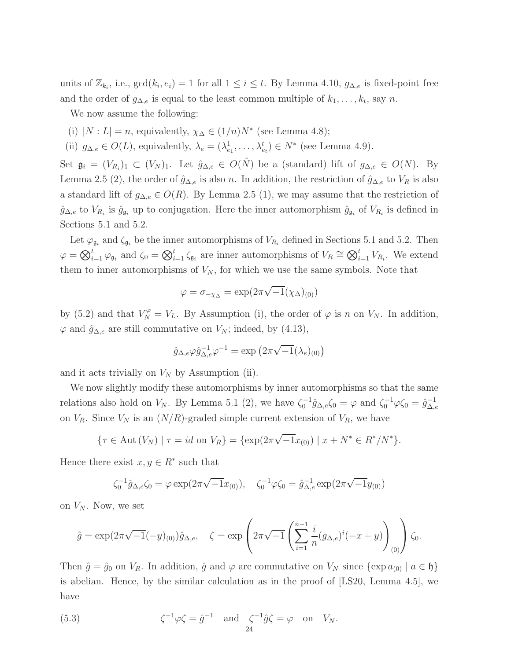units of  $\mathbb{Z}_{k_i}$ , i.e.,  $gcd(k_i, e_i) = 1$  for all  $1 \leq i \leq t$ . By Lemma 4.10,  $g_{\Delta,e}$  is fixed-point free and the order of  $g_{\Delta,e}$  is equal to the least common multiple of  $k_1, \ldots, k_t$ , say n.

We now assume the following:

- (i)  $|N: L| = n$ , equivalently,  $\chi_{\Delta} \in (1/n)N^*$  (see Lemma 4.8);
- (ii)  $g_{\Delta,e} \in O(L)$ , equivalently,  $\lambda_e = (\lambda_{e_1}^1, \ldots, \lambda_{e_t}^t) \in N^*$  (see Lemma 4.9).

Set  $\mathfrak{g}_i = (V_{R_i})_1 \subset (V_N)_1$ . Let  $\hat{g}_{\Delta,e} \in O(\hat{N})$  be a (standard) lift of  $g_{\Delta,e} \in O(N)$ . By Lemma 2.5 (2), the order of  $\hat{g}_{\Delta,e}$  is also n. In addition, the restriction of  $\hat{g}_{\Delta,e}$  to  $V_R$  is also a standard lift of  $g_{\Delta,e} \in O(R)$ . By Lemma 2.5 (1), we may assume that the restriction of  $\hat{g}_{\Delta,e}$  to  $V_{R_i}$  is  $\hat{g}_{\mathfrak{g}_i}$  up to conjugation. Here the inner automorphism  $\hat{g}_{\mathfrak{g}_i}$  of  $V_{R_i}$  is defined in Sections 5.1 and 5.2.

Let  $\varphi_{\mathfrak{g}_i}$  and  $\zeta_{\mathfrak{g}_i}$  be the inner automorphisms of  $V_{R_i}$  defined in Sections 5.1 and 5.2. Then  $\varphi = \bigotimes_{i=1}^t \varphi_{\mathfrak{g}_i}$  and  $\zeta_0 = \bigotimes_{i=1}^t \zeta_{\mathfrak{g}_i}$  are inner automorphisms of  $V_R \cong \bigotimes_{i=1}^t V_{R_i}$ . We extend them to inner automorphisms of  $V_N$ , for which we use the same symbols. Note that

$$
\varphi = \sigma_{-\chi_{\Delta}} = \exp(2\pi\sqrt{-1}(\chi_{\Delta})_{(0)})
$$

by (5.2) and that  $V_N^{\varphi} = V_L$ . By Assumption (i), the order of  $\varphi$  is n on  $V_N$ . In addition,  $\varphi$  and  $\hat{g}_{\Delta,e}$  are still commutative on  $V_N$ ; indeed, by (4.13),

$$
\hat{g}_{\Delta,e}\varphi\hat{g}_{\Delta,e}^{-1}\varphi^{-1} = \exp\left(2\pi\sqrt{-1}(\lambda_e)_{(0)}\right)
$$

and it acts trivially on  $V_N$  by Assumption (ii).

We now slightly modify these automorphisms by inner automorphisms so that the same relations also hold on  $V_N$ . By Lemma 5.1 (2), we have  $\zeta_0^{-1}\hat{g}_{\Delta,e}\zeta_0 = \varphi$  and  $\zeta_0^{-1}\varphi\zeta_0 = \hat{g}_{\Delta,e}^{-1}$  $_{\Delta,e}$ on  $V_R$ . Since  $V_N$  is an  $(N/R)$ -graded simple current extension of  $V_R$ , we have

$$
\{\tau \in \text{Aut}(V_N) \mid \tau = id \text{ on } V_R\} = \{\exp(2\pi\sqrt{-1}x_{(0)}) \mid x + N^* \in R^*/N^*\}.
$$

Hence there exist  $x, y \in \mathbb{R}^*$  such that

$$
\zeta_0^{-1}\hat{g}_{\Delta,e}\zeta_0 = \varphi \exp(2\pi\sqrt{-1}x_{(0)}), \quad \zeta_0^{-1}\varphi\zeta_0 = \hat{g}_{\Delta,e}^{-1}\exp(2\pi\sqrt{-1}y_{(0)})
$$

on  $V_N$ . Now, we set

$$
\hat{g} = \exp(2\pi\sqrt{-1}(-y)_{(0)})\hat{g}_{\Delta,e}, \quad \zeta = \exp\left(2\pi\sqrt{-1}\left(\sum_{i=1}^{n-1} \frac{i}{n}(g_{\Delta,e})^i(-x+y)\right)_{(0)}\right)\zeta_0.
$$

Then  $\hat{g} = \hat{g}_0$  on  $V_R$ . In addition,  $\hat{g}$  and  $\varphi$  are commutative on  $V_N$  since  $\{\exp a_{(0)} \mid a \in \mathfrak{h}\}\$ is abelian. Hence, by the similar calculation as in the proof of [LS20, Lemma 4.5], we have

(5.3) 
$$
\zeta^{-1}\varphi\zeta = \hat{g}^{-1} \text{ and } \zeta^{-1}\hat{g}\zeta = \varphi \text{ on } V_N.
$$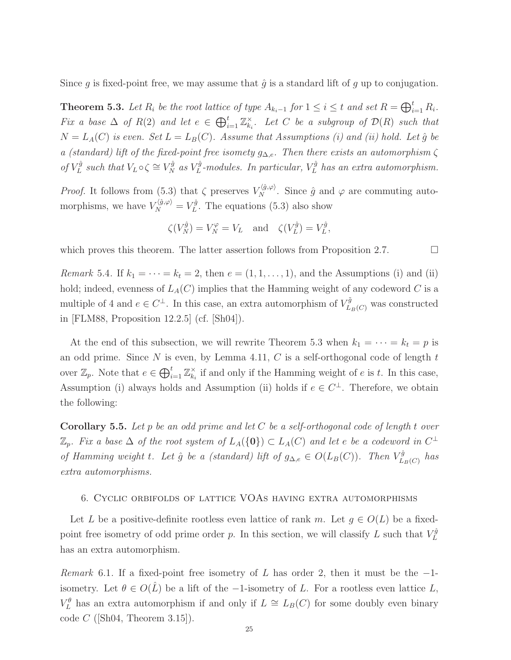Since g is fixed-point free, we may assume that  $\hat{g}$  is a standard lift of g up to conjugation.

**Theorem 5.3.** Let  $R_i$  be the root lattice of type  $A_{k_i-1}$  for  $1 \leq i \leq t$  and set  $R = \bigoplus_{i=1}^t R_i$ . *Fix a base*  $\Delta$  *of*  $R(2)$  *and let*  $e \in \bigoplus_{i=1}^t \mathbb{Z}_{k_i}^{\times}$  $\mathcal{E}_{k_i}^{\times}$ . Let C be a subgroup of  $\mathcal{D}(R)$  such that  $N = L<sub>A</sub>(C)$  *is even.* Set  $L = L<sub>B</sub>(C)$ *. Assume that Assumptions (i) and (ii) hold. Let*  $\hat{q}$  *be a (standard) lift of the fixed-point free isomety* g∆,e*. Then there exists an automorphism* ζ of  $V_L^{\hat{g}}$  $\chi_L^{\hat{g}}$  such that  $V_L \circ \zeta \cong V_N^{\hat{g}}$  as  $V_L^{\hat{g}}$  $L^{\hat{g}}$ -modules. In particular,  $V_L^{\hat{g}}$ L *has an extra automorphism.*

*Proof.* It follows from (5.3) that  $\zeta$  preserves  $V_N^{(\hat{g}, \varphi)}$ . Since  $\hat{g}$  and  $\varphi$  are commuting automorphisms, we have  $V_N^{\langle \hat{g}, \varphi \rangle} = V_L^{\hat{g}}$  $L<sup>rg</sup>$ . The equations (5.3) also show

$$
\zeta(V_N^{\hat{g}}) = V_N^{\varphi} = V_L
$$
 and  $\zeta(V_L^{\hat{g}}) = V_L^{\hat{g}}$ ,

which proves this theorem. The latter assertion follows from Proposition 2.7.  $\Box$ 

*Remark* 5.4. If  $k_1 = \cdots = k_t = 2$ , then  $e = (1, 1, \ldots, 1)$ , and the Assumptions (i) and (ii) hold; indeed, evenness of  $L_A(C)$  implies that the Hamming weight of any codeword C is a multiple of 4 and  $e \in C^{\perp}$ . In this case, an extra automorphism of  $V_{L_B(C)}^{\tilde{g}}$  was constructed in [FLM88, Proposition 12.2.5] (cf. [Sh04]).

At the end of this subsection, we will rewrite Theorem 5.3 when  $k_1 = \cdots = k_t = p$  is an odd prime. Since  $N$  is even, by Lemma 4.11,  $C$  is a self-orthogonal code of length  $t$ over  $\mathbb{Z}_p$ . Note that  $e \in \bigoplus_{i=1}^t \mathbb{Z}_{k_i}^{\times}$  $\chi_{k_i}^{\times}$  if and only if the Hamming weight of e is t. In this case, Assumption (i) always holds and Assumption (ii) holds if  $e \in C^{\perp}$ . Therefore, we obtain the following:

Corollary 5.5. *Let* p *be an odd prime and let* C *be a self-orthogonal code of length* t *over*  $\mathbb{Z}_p$ . Fix a base  $\Delta$  *of the root system of*  $L_A$ ({0}) ⊂  $L_A$ (C) *and let e be a codeword in*  $C^{\perp}$ *of Hamming weight t.* Let  $\hat{g}$  be a (standard) lift of  $g_{\Delta,e} \in O(L_B(C))$ . Then  $V_L^{\hat{g}}$  $L_B(C)$  has *extra automorphisms.*

## 6. Cyclic orbifolds of lattice VOAs having extra automorphisms

Let L be a positive-definite rootless even lattice of rank m. Let  $g \in O(L)$  be a fixedpoint free isometry of odd prime order p. In this section, we will classify L such that  $V_L^{\hat{g}}$ L has an extra automorphism.

*Remark* 6.1. If a fixed-point free isometry of L has order 2, then it must be the −1isometry. Let  $\theta \in O(\hat{L})$  be a lift of the -1-isometry of L. For a rootless even lattice L,  $V_L^{\theta}$  has an extra automorphism if and only if  $L \cong L_B(C)$  for some doubly even binary code  $C$  ([Sh04, Theorem 3.15]).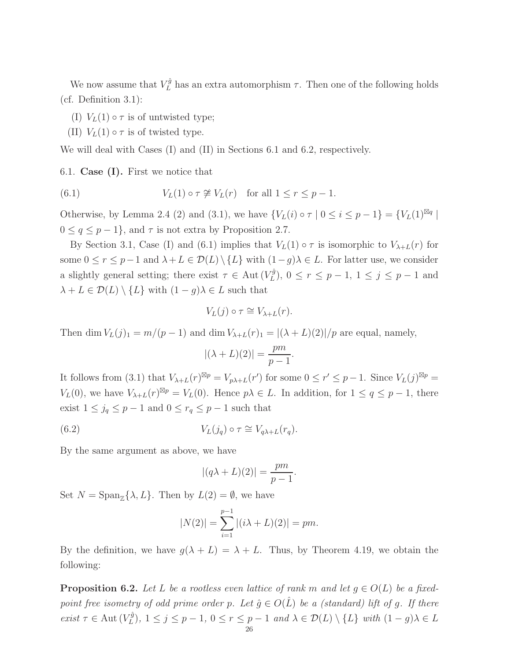We now assume that  $V_L^{\hat{g}}$  has an extra automorphism  $\tau$ . Then one of the following holds (cf. Definition 3.1):

- (I)  $V_L(1) \circ \tau$  is of untwisted type;
- (II)  $V_L(1) \circ \tau$  is of twisted type.

We will deal with Cases (I) and (II) in Sections 6.1 and 6.2, respectively.

6.1. Case (I). First we notice that

(6.1) 
$$
V_L(1) \circ \tau \not\cong V_L(r) \text{ for all } 1 \leq r \leq p-1.
$$

Otherwise, by Lemma 2.4 (2) and (3.1), we have  ${V_L(i) \circ \tau | 0 \le i \le p - 1} = {V_L(1)^{\boxtimes q}}$  $0 \le q \le p-1$ , and  $\tau$  is not extra by Proposition 2.7.

By Section 3.1, Case (I) and (6.1) implies that  $V_L(1) \circ \tau$  is isomorphic to  $V_{\lambda+L}(r)$  for some  $0 \le r \le p-1$  and  $\lambda + L \in \mathcal{D}(L) \setminus \{L\}$  with  $(1-g)\lambda \in L$ . For latter use, we consider a slightly general setting; there exist  $\tau \in \text{Aut}(V_L^{\hat{g}})$  $\binom{rg}{L}, 0 \leq r \leq p-1, 1 \leq j \leq p-1$  and  $\lambda + L \in \mathcal{D}(L) \setminus \{L\}$  with  $(1 - g)\lambda \in L$  such that

$$
V_L(j) \circ \tau \cong V_{\lambda+L}(r).
$$

Then dim  $V_L(j)_1 = m/(p-1)$  and dim  $V_{\lambda+L}(r)_1 = |(\lambda+L)(2)|/p$  are equal, namely,

$$
|(\lambda + L)(2)| = \frac{pm}{p-1}.
$$

It follows from (3.1) that  $V_{\lambda+L}(r)^{\boxtimes p} = V_{p\lambda+L}(r')$  for some  $0 \le r' \le p-1$ . Since  $V_L(j)^{\boxtimes p} =$  $V_L(0)$ , we have  $V_{\lambda+L}(r)^{\boxtimes p} = V_L(0)$ . Hence  $p\lambda \in L$ . In addition, for  $1 \le q \le p-1$ , there exist  $1 \le j_q \le p-1$  and  $0 \le r_q \le p-1$  such that

(6.2) 
$$
V_L(j_q) \circ \tau \cong V_{q\lambda + L}(r_q).
$$

By the same argument as above, we have

$$
|(q\lambda + L)(2)| = \frac{pm}{p-1}.
$$

Set  $N = \text{Span}_{\mathbb{Z}}\{\lambda, L\}$ . Then by  $L(2) = \emptyset$ , we have

$$
|N(2)| = \sum_{i=1}^{p-1} |(i\lambda + L)(2)| = pm.
$$

By the definition, we have  $g(\lambda + L) = \lambda + L$ . Thus, by Theorem 4.19, we obtain the following:

**Proposition 6.2.** Let L be a rootless even lattice of rank m and let  $g \in O(L)$  be a fixed*point free isometry of odd prime order* p. Let  $\hat{g} \in O(\hat{L})$  *be a (standard) lift of g. If there*  $\text{exist } \tau \in \text{Aut}(V_L^{\hat{g}})$  $(L)$ ,  $1 \leq j \leq p-1$ ,  $0 \leq r \leq p-1$  and  $\lambda \in \mathcal{D}(L) \setminus \{L\}$  with  $(1-g)\lambda \in L$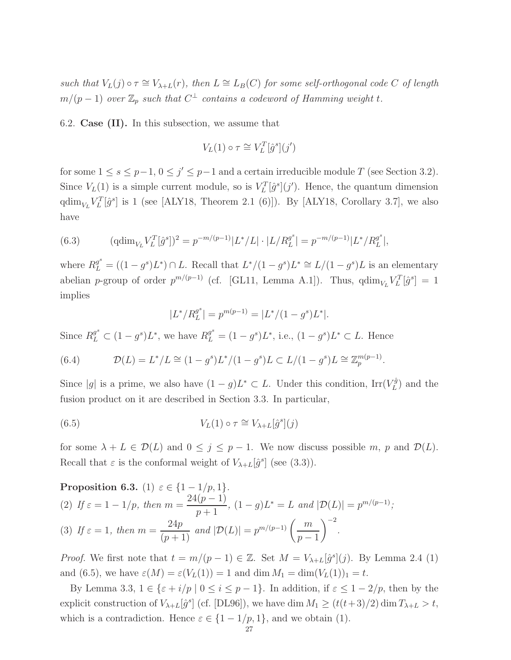*such that*  $V_L(j) \circ \tau \cong V_{\lambda+L}(r)$ *, then*  $L \cong L_B(C)$  *for some self-orthogonal code* C *of length*  $m/(p-1)$  *over*  $\mathbb{Z}_p$  *such that*  $C^{\perp}$  *contains a codeword of Hamming weight t.* 

6.2. Case  $(II)$ . In this subsection, we assume that

$$
V_L(1) \circ \tau \cong V_L^T[\hat{g}^s](j')
$$

for some  $1 \le s \le p-1$ ,  $0 \le j' \le p-1$  and a certain irreducible module T (see Section 3.2). Since  $V_L(1)$  is a simple current module, so is  $V_L^T[\hat{g}^s](j')$ . Hence, the quantum dimension  $\operatorname{qdim}_{V_L} V_L^T[\hat{g}^s]$  is 1 (see [ALY18, Theorem 2.1 (6)]). By [ALY18, Corollary 3.7], we also have

(6.3) 
$$
(\text{qdim}_{V_L} V_L^T[\hat{g}^s])^2 = p^{-m/(p-1)} |L^*/L| \cdot |L/R_L^{g^s}| = p^{-m/(p-1)} |L^*/R_L^{g^s}|,
$$

where  $R_L^{g^s} = ((1 - g^s)L^*) \cap L$ . Recall that  $L^*/(1 - g^s)L^* \cong L/(1 - g^s)L$  is an elementary abelian p-group of order  $p^{m/(p-1)}$  (cf. [GL11, Lemma A.1]). Thus,  $qdim_{V_L} V_L^T[\hat{g}^s] = 1$ implies

$$
|L^*/R_L^{g^s}| = p^{m(p-1)} = |L^*/(1-g^s)L^*|.
$$

Since  $R_L^{g^s} \subset (1 - g^s)L^*$ , we have  $R_L^{g^s} = (1 - g^s)L^*$ , i.e.,  $(1 - g^s)L^* \subset L$ . Hence

(6.4) 
$$
\mathcal{D}(L) = L^* / L \cong (1 - g^s) L^* / (1 - g^s) L \subset L / (1 - g^s) L \cong \mathbb{Z}_p^{m(p-1)}.
$$

Since |g| is a prime, we also have  $(1-g)L^* \subset L$ . Under this condition,  $\text{Irr}(V_L^{\hat{g}})$  $L^{rg}$ ) and the fusion product on it are described in Section 3.3. In particular,

(6.5) 
$$
V_L(1) \circ \tau \cong V_{\lambda+L}[\hat{g}^s](j)
$$

for some  $\lambda + L \in \mathcal{D}(L)$  and  $0 \leq j \leq p - 1$ . We now discuss possible m, p and  $\mathcal{D}(L)$ . Recall that  $\varepsilon$  is the conformal weight of  $V_{\lambda+L}[\hat{g}^s]$  (see (3.3)).

**Proposition 6.3.** (1) 
$$
\varepsilon \in \{1 - 1/p, 1\}.
$$
  
\n(2) If  $\varepsilon = 1 - 1/p$ , then  $m = \frac{24(p-1)}{p+1}$ ,  $(1 - g)L^* = L$  and  $|\mathcal{D}(L)| = p^{m/(p-1)}$ ;  
\n(3) If  $\varepsilon = 1$ , then  $m = \frac{24p}{(p+1)}$  and  $|\mathcal{D}(L)| = p^{m/(p-1)} \left(\frac{m}{p-1}\right)^{-2}$ .

*Proof.* We first note that  $t = m/(p-1) \in \mathbb{Z}$ . Set  $M = V_{\lambda + L}[\hat{g}^s](j)$ . By Lemma 2.4 (1) and (6.5), we have  $\varepsilon(M) = \varepsilon(V_L(1)) = 1$  and dim  $M_1 = \dim(V_L(1))_1 = t$ .

By Lemma 3.3,  $1 \in {\varepsilon + i/p \mid 0 \le i \le p-1}$ . In addition, if  $\varepsilon \le 1 - 2/p$ , then by the explicit construction of  $V_{\lambda+L}[\hat{g}^s]$  (cf. [DL96]), we have dim  $M_1 \ge (t(t+3)/2) \dim T_{\lambda+L} > t$ , which is a contradiction. Hence  $\varepsilon \in \{1 - 1/p, 1\}$ , and we obtain (1).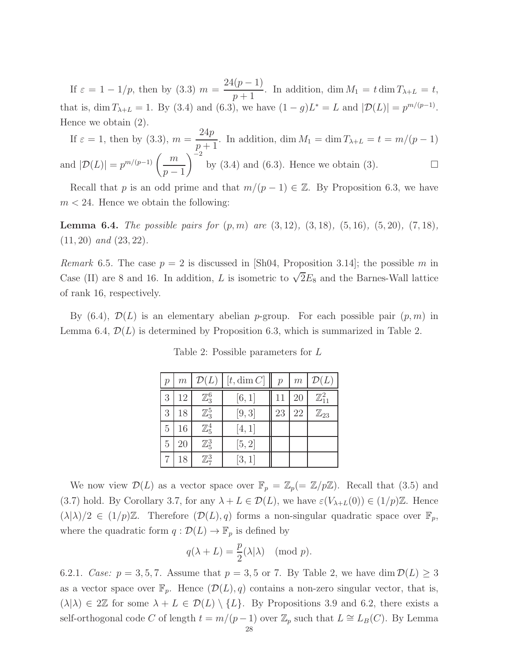If  $\varepsilon = 1 - 1/p$ , then by (3.3)  $m =$  $24(p-1)$  $\frac{p(p-1)}{p+1}$ . In addition, dim  $M_1 = t \dim T_{\lambda+L} = t$ , that is, dim  $T_{\lambda+L} = 1$ . By (3.4) and (6.3), we have  $(1 - g)L^* = L$  and  $|\mathcal{D}(L)| = p^{m/(p-1)}$ . Hence we obtain (2).

If 
$$
\varepsilon = 1
$$
, then by (3.3),  $m = \frac{24p}{p+1}$ . In addition,  $\dim M_1 = \dim T_{\lambda+L} = t = m/(p-1)$   
and  $|\mathcal{D}(L)| = p^{m/(p-1)} \left(\frac{m}{p-1}\right)^{-2}$  by (3.4) and (6.3). Hence we obtain (3).

Recall that p is an odd prime and that  $m/(p-1) \in \mathbb{Z}$ . By Proposition 6.3, we have  $m < 24$ . Hence we obtain the following:

Lemma 6.4. *The possible pairs for* (p, m) *are* (3, 12)*,* (3, 18)*,* (5, 16)*,* (5, 20)*,* (7, 18)*,* (11, 20) *and* (23, 22)*.*

*Remark* 6.5. The case  $p = 2$  is discussed in [Sh04, Proposition 3.14]; the possible m in Case (II) are 8 and 16. In addition, L is isometric to  $\sqrt{2}E_8$  and the Barnes-Wall lattice of rank 16, respectively.

By  $(6.4)$ ,  $\mathcal{D}(L)$  is an elementary abelian p-group. For each possible pair  $(p, m)$  in Lemma 6.4,  $\mathcal{D}(L)$  is determined by Proposition 6.3, which is summarized in Table 2.

| $\overline{p}$ | m  | $\mathcal{D}(L)$ | $[t, \dim C]$ | $\mathcal{p}$ | m  | $\mathcal{D}(L)$    |
|----------------|----|------------------|---------------|---------------|----|---------------------|
| 3              | 12 | $\mathbb{Z}_3^6$ | [6, 1]        | 11            | 20 | $\mathbb{Z}_{11}^2$ |
| 3              | 18 | $\mathbb{Z}_3^5$ | [9,3]         | 23            | 22 | $\mathbb{Z}_{23}$   |
| $\overline{5}$ | 16 | $\mathbb{Z}_5^4$ | [4,1]         |               |    |                     |
| $\overline{5}$ | 20 | $\mathbb{Z}_5^3$ | [5, 2]        |               |    |                     |
|                | 18 | $\mathbb{Z}_7^3$ | [3, 1]        |               |    |                     |

Table 2: Possible parameters for L

We now view  $\mathcal{D}(L)$  as a vector space over  $\mathbb{F}_p = \mathbb{Z}_p (= \mathbb{Z}/p\mathbb{Z})$ . Recall that (3.5) and (3.7) hold. By Corollary 3.7, for any  $\lambda + L \in \mathcal{D}(L)$ , we have  $\varepsilon(V_{\lambda+L}(0)) \in (1/p)\mathbb{Z}$ . Hence  $(\lambda|\lambda)/2 \in (1/p)\mathbb{Z}$ . Therefore  $(\mathcal{D}(L), q)$  forms a non-singular quadratic space over  $\mathbb{F}_p$ , where the quadratic form  $q: \mathcal{D}(L) \to \mathbb{F}_p$  is defined by

$$
q(\lambda + L) = \frac{p}{2}(\lambda | \lambda) \pmod{p}.
$$

6.2.1. *Case:*  $p = 3, 5, 7$ . Assume that  $p = 3, 5$  or 7. By Table 2, we have dim  $\mathcal{D}(L) \geq 3$ as a vector space over  $\mathbb{F}_p$ . Hence  $(\mathcal{D}(L), q)$  contains a non-zero singular vector, that is,  $(\lambda|\lambda) \in 2\mathbb{Z}$  for some  $\lambda + L \in \mathcal{D}(L) \setminus \{L\}$ . By Propositions 3.9 and 6.2, there exists a self-orthogonal code C of length  $t = m/(p-1)$  over  $\mathbb{Z}_p$  such that  $L \cong L_B(C)$ . By Lemma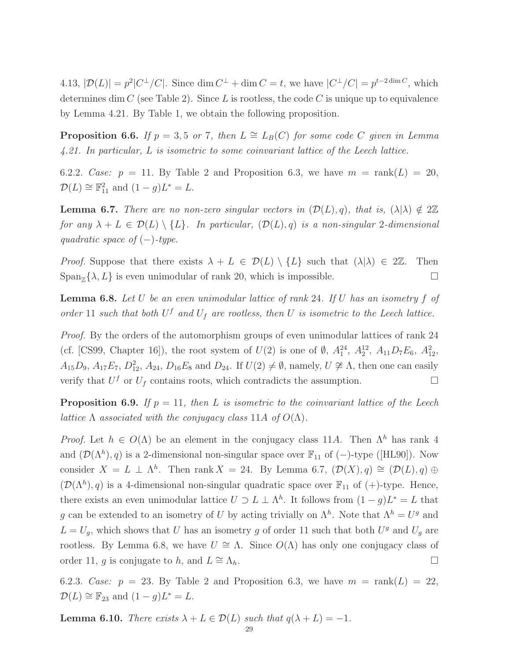4.13,  $|\mathcal{D}(L)| = p^2|C^{\perp}/C|$ . Since  $\dim C^{\perp} + \dim C = t$ , we have  $|C^{\perp}/C| = p^{t-2\dim C}$ , which determines dim  $C$  (see Table 2). Since L is rootless, the code C is unique up to equivalence by Lemma 4.21. By Table 1, we obtain the following proposition.

**Proposition 6.6.** *If*  $p = 3, 5$  *or* 7*, then*  $L \cong L_B(C)$  *for some code* C *given in Lemma 4.21. In particular,* L *is isometric to some coinvariant lattice of the Leech lattice.*

6.2.2. *Case:*  $p = 11$ . By Table 2 and Proposition 6.3, we have  $m = \text{rank}(L) = 20$ ,  $\mathcal{D}(L) \cong \mathbb{F}_{11}^2$  and  $(1-g)L^* = L$ .

**Lemma 6.7.** *There are no non-zero singular vectors in*  $(\mathcal{D}(L), q)$ *, that is,*  $(\lambda | \lambda) \notin 2\mathbb{Z}$ *for any*  $\lambda + L \in \mathcal{D}(L) \setminus \{L\}$ . In particular,  $(\mathcal{D}(L), q)$  *is a non-singular* 2-dimensional *quadratic space of* (−)*-type.*

*Proof.* Suppose that there exists  $\lambda + L \in \mathcal{D}(L) \setminus \{L\}$  such that  $(\lambda|\lambda) \in 2\mathbb{Z}$ . Then  $\text{Span}_{\mathbb{Z}}\{\lambda, L\}$  is even unimodular of rank 20, which is impossible.

Lemma 6.8. *Let* U *be an even unimodular lattice of rank* 24*. If* U *has an isometry* f *of order* 11 *such that both*  $U^f$  *and*  $U_f$  *are rootless, then* U *is isometric to the Leech lattice.* 

*Proof.* By the orders of the automorphism groups of even unimodular lattices of rank 24 (cf. [CS99, Chapter 16]), the root system of  $U(2)$  is one of  $\emptyset$ ,  $A_1^{24}$ ,  $A_2^{12}$ ,  $A_{11}D_7E_6$ ,  $A_{12}^2$ ,  $A_{15}D_9$ ,  $A_{17}E_7$ ,  $D_{12}^2$ ,  $A_{24}$ ,  $D_{16}E_8$  and  $D_{24}$ . If  $U(2) \neq \emptyset$ , namely,  $U \not\cong \Lambda$ , then one can easily verify that  $U^f$  or  $U_f$  contains roots, which contradicts the assumption.

**Proposition 6.9.** If  $p = 11$ , then L is isometric to the coinvariant lattice of the Leech *lattice*  $\Lambda$  *associated with the conjugacy class* 11A *of*  $O(\Lambda)$ .

*Proof.* Let  $h \in O(\Lambda)$  be an element in the conjugacy class 11A. Then  $\Lambda^h$  has rank 4 and  $(\mathcal{D}(\Lambda^h), q)$  is a 2-dimensional non-singular space over  $\mathbb{F}_{11}$  of  $(-)$ -type ([HL90]). Now consider  $X = L \perp \Lambda^h$ . Then rank  $X = 24$ . By Lemma 6.7,  $(\mathcal{D}(X), q) \cong (\mathcal{D}(L), q) \oplus$  $(\mathcal{D}(\Lambda^h), q)$  is a 4-dimensional non-singular quadratic space over  $\mathbb{F}_{11}$  of  $(+)$ -type. Hence, there exists an even unimodular lattice  $U \supset L \perp \Lambda^h$ . It follows from  $(1 - g)L^* = L$  that g can be extended to an isometry of U by acting trivially on  $\Lambda^h$ . Note that  $\Lambda^h = U^g$  and  $L = U<sub>g</sub>$ , which shows that U has an isometry g of order 11 such that both  $U<sup>g</sup>$  and  $U<sub>g</sub>$  are rootless. By Lemma 6.8, we have  $U \cong \Lambda$ . Since  $O(\Lambda)$  has only one conjugacy class of order 11, g is conjugate to h, and  $L \cong \Lambda_h$ .

6.2.3. *Case:*  $p = 23$ . By Table 2 and Proposition 6.3, we have  $m = \text{rank}(L) = 22$ ,  $\mathcal{D}(L) \cong \mathbb{F}_{23}$  and  $(1-g)L^* = L$ .

**Lemma 6.10.** *There exists*  $\lambda + L \in \mathcal{D}(L)$  *such that*  $q(\lambda + L) = -1$ *.*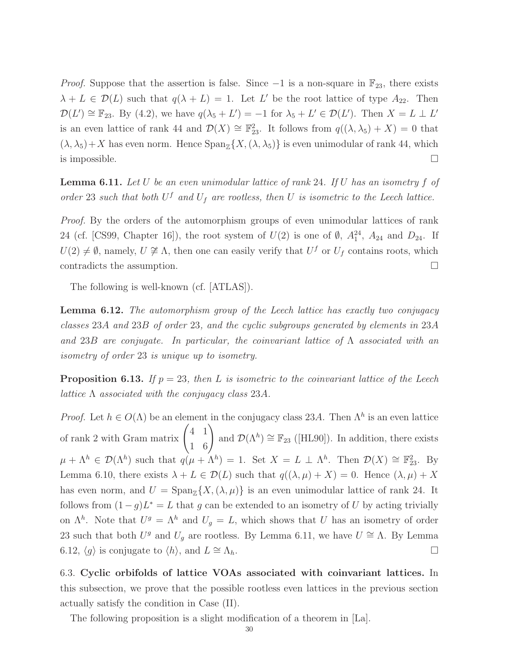*Proof.* Suppose that the assertion is false. Since  $-1$  is a non-square in  $\mathbb{F}_{23}$ , there exists  $\lambda + L \in \mathcal{D}(L)$  such that  $q(\lambda + L) = 1$ . Let L' be the root lattice of type  $A_{22}$ . Then  $\mathcal{D}(L') \cong \mathbb{F}_{23}$ . By (4.2), we have  $q(\lambda_5 + L') = -1$  for  $\lambda_5 + L' \in \mathcal{D}(L')$ . Then  $X = L \perp L'$ is an even lattice of rank 44 and  $\mathcal{D}(X) \cong \mathbb{F}_{23}^2$ . It follows from  $q((\lambda, \lambda_5) + X) = 0$  that  $(\lambda, \lambda_5) + X$  has even norm. Hence  $\text{Span}_{\mathbb{Z}}\{X, (\lambda, \lambda_5)\}\$ is even unimodular of rank 44, which is impossible.  $\Box$ 

Lemma 6.11. *Let* U *be an even unimodular lattice of rank* 24*. If* U *has an isometry* f *of order* 23 *such that both*  $U^f$  *and*  $U_f$  *are rootless, then*  $U$  *is isometric to the Leech lattice.* 

*Proof.* By the orders of the automorphism groups of even unimodular lattices of rank 24 (cf. [CS99, Chapter 16]), the root system of  $U(2)$  is one of  $\emptyset$ ,  $A_1^{24}$ ,  $A_{24}$  and  $D_{24}$ . If  $U(2) \neq \emptyset$ , namely,  $U \not\cong \Lambda$ , then one can easily verify that  $U^f$  or  $U_f$  contains roots, which contradicts the assumption.

The following is well-known (cf. [ATLAS]).

Lemma 6.12. *The automorphism group of the Leech lattice has exactly two conjugacy classes* 23A *and* 23B *of order* 23*, and the cyclic subgroups generated by elements in* 23A *and* 23B *are conjugate. In particular, the coinvariant lattice of* Λ *associated with an isometry of order* 23 *is unique up to isometry.*

**Proposition 6.13.** If  $p = 23$ , then L is isometric to the coinvariant lattice of the Leech *lattice* Λ *associated with the conjugacy class* 23A*.*

*Proof.* Let  $h \in O(\Lambda)$  be an element in the conjugacy class 23A. Then  $\Lambda^h$  is an even lattice of rank 2 with Gram matrix  $\begin{pmatrix} 4 & 1 \\ 1 & 6 \end{pmatrix}$  and  $\mathcal{D}(\Lambda^h) \cong \mathbb{F}_{23}$  ([HL90]). In addition, there exists  $\mu + \Lambda^h \in \mathcal{D}(\Lambda^h)$  such that  $q(\mu + \Lambda^h) = 1$ . Set  $X = L \perp \Lambda^h$ . Then  $\mathcal{D}(X) \cong \mathbb{F}_{23}^2$ . By Lemma 6.10, there exists  $\lambda + L \in \mathcal{D}(L)$  such that  $q((\lambda, \mu) + X) = 0$ . Hence  $(\lambda, \mu) + X$ has even norm, and  $U = \text{Span}_{\mathbb{Z}}\{X, (\lambda, \mu)\}\$ is an even unimodular lattice of rank 24. It follows from  $(1-g)L^* = L$  that g can be extended to an isometry of U by acting trivially on  $\Lambda^h$ . Note that  $U^g = \Lambda^h$  and  $U_g = L$ , which shows that U has an isometry of order 23 such that both  $U^g$  and  $U_g$  are rootless. By Lemma 6.11, we have  $U \cong \Lambda$ . By Lemma 6.12,  $\langle g \rangle$  is conjugate to  $\langle h \rangle$ , and  $L \cong \Lambda_h$ .

6.3. Cyclic orbifolds of lattice VOAs associated with coinvariant lattices. In this subsection, we prove that the possible rootless even lattices in the previous section actually satisfy the condition in Case (II).

The following proposition is a slight modification of a theorem in [La].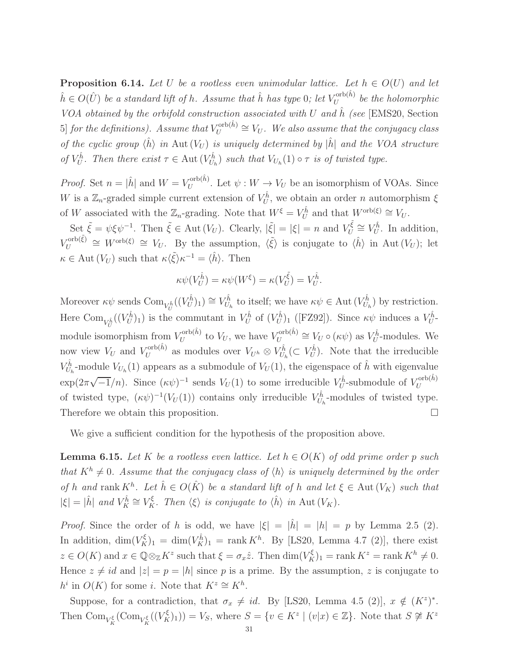**Proposition 6.14.** Let U be a rootless even unimodular lattice. Let  $h \in O(U)$  and let  $\hat{h} \in O(\hat{U})$  *be a standard lift of*  $h$ *. Assume that*  $\hat{h}$  *has type* 0*; let*  $V_U^{\text{orb}(\hat{h})}$  $\bar{U}^{\text{opp}(n)}$  be the holomorphic *VOA obtained by the orbifold construction associated with U and*  $\hat{h}$  *(see* [EMS20, Section 5] *for the definitions*). Assume that  $V_U^{\text{orb}(\hat{h})}$  $U_U^{\text{ord}(n)} \cong V_U$ . We also assume that the conjugacy class *of the cyclic group*  $\langle \hat{h} \rangle$  *in* Aut  $(V_U)$  *is uniquely determined by*  $|\hat{h}|$  *and the VOA structure of*  $V_U^{\hat{h}}$ *. Then there exist*  $\tau \in \text{Aut}(V_{U_1}^{\hat{h}})$  $U_h^{(h)}$  such that  $V_{U_h}(1) \circ \tau$  *is of twisted type.* 

*Proof.* Set  $n = |\hat{h}|$  and  $W = V_U^{\text{orb}(\hat{h})}$  $U_U^{\text{ord}(n)}$ . Let  $\psi: W \to V_U$  be an isomorphism of VOAs. Since W is a  $\mathbb{Z}_n$ -graded simple current extension of  $V_U^{\hat{h}}$ , we obtain an order n automorphism  $\xi$ of W associated with the  $\mathbb{Z}_n$ -grading. Note that  $W^{\xi} = V_U^{\hat{h}}$  and that  $W^{\text{orb}(\xi)} \cong V_U$ .

Set  $\tilde{\xi} = \psi \xi \psi^{-1}$ . Then  $\tilde{\xi} \in \text{Aut}(V_U)$ . Clearly,  $|\tilde{\xi}| = |\xi| = n$  and  $V_U^{\tilde{\xi}}$  $U_U^{\hat{\xi}} \cong V_U^{\hat{h}}$ . In addition,  $V_U^{\operatorname{orb}(\tilde{\xi})}$  $U_U^{\text{orb}(\xi)} \cong W^{\text{orb}(\xi)} \cong V_U$ . By the assumption,  $\langle \tilde{\xi} \rangle$  is conjugate to  $\langle \hat{h} \rangle$  in Aut  $(V_U)$ ; let  $\kappa \in \text{Aut}(V_U)$  such that  $\kappa \langle \tilde{\xi} \rangle \kappa^{-1} = \langle \hat{h} \rangle$ . Then

$$
\kappa \psi(V_U^{\hat{h}}) = \kappa \psi(W^{\xi}) = \kappa(V_U^{\tilde{\xi}}) = V_U^{\hat{h}}.
$$

Moreover  $\kappa \psi$  sends  $\mathrm{Com}_{V_U^{\hat{h}}}((V_U^{\hat{h}})_1) \cong V_{U_U}^{\hat{h}}$  $\hat{U}_h^{\hat{h}}$  to itself; we have  $\kappa \psi \in \text{Aut}(V_{U_h}^{\hat{h}})$  $U_h^{h}$ ) by restriction. Here Com $_{V^{\hat{h}}_{U}}((V^{\hat{h}}_{U})_{1})$  is the commutant in  $V^{\hat{h}}_{U}$  of  $(V^{\hat{h}}_{U})_{1}$  ([FZ92]). Since  $\kappa\psi$  induces a  $V^{\hat{h}}_{U}$ -U module isomorphism from  $V_U^{\text{orb}(\hat{h})}$  $U_U^{\operatorname{orb}(\hat{h})}$  to  $V_U$ , we have  $V_U^{\operatorname{orb}(\hat{h})}$  $U_U^{\text{orb}(h)} \cong V_U \circ (\kappa \psi)$  as  $V_U^{\hat{h}}$ -modules. We now view  $V_U$  and  $V_U^{\text{orb}(\hat{h})}$  $U_U^{\operatorname{orb}(h)}$  as modules over  $V_{U^h}\otimes V_{U_h}^{\hat{h}}$  $U_{U_h}^{\hat{h}}(\subset V_U^{\hat{h}})$ . Note that the irreducible  $V_{U}^{\hat{h}}$  $V_{U_h}$ -module  $V_{U_h}(1)$  appears as a submodule of  $V_U(1)$ , the eigenspace of  $\hat{h}$  with eigenvalue  $\exp(2\pi\sqrt{-1}/n)$ . Since  $(\kappa\psi)^{-1}$  sends  $V_U(1)$  to some irreducible  $V_U^{\hat{h}}$ -submodule of  $V_U^{\text{orb}(\hat{h})}$ U of twisted type,  $(\kappa \psi)^{-1}(V_U(1))$  contains only irreducible  $V_{U_i}^{\hat{h}}$  $U_h^{h}$ -modules of twisted type. Therefore we obtain this proposition.

We give a sufficient condition for the hypothesis of the proposition above.

**Lemma 6.15.** Let K be a rootless even lattice. Let  $h \in O(K)$  of odd prime order p such *that*  $K^h \neq 0$ *. Assume that the conjugacy class of*  $\langle h \rangle$  *is uniquely determined by the order of* h and rank  $K^h$ . Let  $\hat{h} \in O(\hat{K})$  be a standard lift of h and let  $\xi \in Aut(V_K)$  such that  $|\xi| = |\hat{h}|$  *and*  $V_K^{\hat{h}} \cong V_K^{\xi}$ *. Then*  $\langle \xi \rangle$  *is conjugate to*  $\langle \hat{h} \rangle$  *in* Aut  $(V_K)$ *.* 

*Proof.* Since the order of h is odd, we have  $|\xi| = |\hat{h}| = |h| = p$  by Lemma 2.5 (2). In addition,  $\dim(V_K^{\xi})_1 = \dim(V_H^{\hat{h}})_1 = \text{rank } K^h$ . By [LS20, Lemma 4.7 (2)], there exist  $z \in O(K)$  and  $x \in \mathbb{Q} \otimes_{\mathbb{Z}} K^z$  such that  $\xi = \sigma_x \hat{z}$ . Then  $\dim(V_K^{\xi})_1 = \text{rank } K^z = \text{rank } K^h \neq 0$ . Hence  $z \neq id$  and  $|z| = p = |h|$  since p is a prime. By the assumption, z is conjugate to  $h^i$  in  $O(K)$  for some *i*. Note that  $K^z \cong K^h$ .

Suppose, for a contradiction, that  $\sigma_x \neq id$ . By [LS20, Lemma 4.5 (2)],  $x \notin (K^z)^*$ . Then  $\text{Com}_{V_K^{\xi}}(\text{Com}_{V_K^{\xi}}((V_K^{\xi})_1)) = V_S$ , where  $S = \{v \in K^z \mid (v|x) \in \mathbb{Z}\}\$ . Note that  $S \not\cong K^z$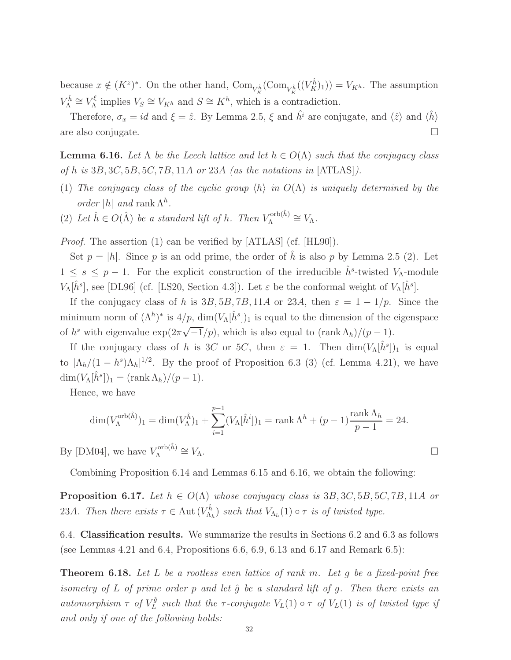because  $x \notin (K^z)^*$ . On the other hand,  $\text{Com}_{V_K^{\hat{h}}}(\text{Com}_{V_K^{\hat{h}}}((V_K^{\hat{h}})_1)) = V_{K^h}$ . The assumption K K  $V_\Lambda^{\hat{h}} \cong V_\Lambda^\xi$  $V_S^{\xi}$  implies  $V_S \cong V_{K^h}$  and  $S \cong K^h$ , which is a contradiction.

Therefore,  $\sigma_x = id$  and  $\xi = \hat{z}$ . By Lemma 2.5,  $\xi$  and  $\hat{h}^i$  are conjugate, and  $\langle \hat{z} \rangle$  and  $\langle \hat{h} \rangle$ are also conjugate.

**Lemma 6.16.** Let  $\Lambda$  be the Leech lattice and let  $h \in O(\Lambda)$  such that the conjugacy class *of* h *is* 3B, 3C, 5B, 5C, 7B, 11A *or* 23A *(as the notations in* [ATLAS]*).*

- (1) *The conjugacy class of the cyclic group*  $\langle h \rangle$  *in*  $O(\Lambda)$  *is uniquely determined by the order* |h| *and* rank  $\Lambda^h$ .
- (2) Let  $\hat{h} \in O(\hat{\Lambda})$  be a standard lift of h. Then  $V_{\Lambda}^{\text{orb}(\hat{h})}$  $V_{\Lambda}^{\text{orp}(n)} \cong V_{\Lambda}.$

*Proof.* The assertion (1) can be verified by [ATLAS] (cf. [HL90]).

Set  $p = |h|$ . Since p is an odd prime, the order of h is also p by Lemma 2.5 (2). Let  $1 \leq s \leq p-1$ . For the explicit construction of the irreducible  $\hat{h}^s$ -twisted  $V_\Lambda$ -module  $V_{\Lambda}[\hat{h}^s]$ , see [DL96] (cf. [LS20, Section 4.3]). Let  $\varepsilon$  be the conformal weight of  $V_{\Lambda}[\hat{h}^s]$ .

If the conjugacy class of h is  $3B, 5B, 7B, 11A$  or  $23A$ , then  $\varepsilon = 1 - 1/p$ . Since the minimum norm of  $(\Lambda^h)^*$  is  $4/p$ ,  $\dim(V_{\Lambda}[\hat{h}^s])_1$  is equal to the dimension of the eigenspace of  $h^s$  with eigenvalue  $\exp(2\pi\sqrt{-1}/p)$ , which is also equal to  $(\text{rank }\Lambda_h)/(p-1)$ .

If the conjugacy class of h is 3C or 5C, then  $\varepsilon = 1$ . Then  $\dim(V_{\Lambda}[\hat{h}^s])_1$  is equal to  $|\Lambda_h/(1-h^s)\Lambda_h|^{1/2}$ . By the proof of Proposition 6.3 (3) (cf. Lemma 4.21), we have  $\dim(V_{\Lambda}[\hat{h}^s])_1 = (\text{rank }\Lambda_h)/(p-1).$ 

Hence, we have

$$
\dim(V_{\Lambda}^{\text{orb}(\hat{h})})_1 = \dim(V_{\Lambda}^{\hat{h}})_1 + \sum_{i=1}^{p-1} (V_{\Lambda}[\hat{h}^i])_1 = \text{rank}\,\Lambda^h + (p-1)\frac{\text{rank}\,\Lambda_h}{p-1} = 24.
$$

By [DM04], we have  $V_{\Lambda}^{\text{orb}(\hat{h})}$ Λ  $\cong V_{\Lambda}$ .

Combining Proposition 6.14 and Lemmas 6.15 and 6.16, we obtain the following:

**Proposition 6.17.** Let  $h \in O(\Lambda)$  whose conjugacy class is  $3B, 3C, 5B, 5C, 7B, 11A$  or 23A. Then there exists  $\tau \in$  Aut  $(V_{\Lambda_i}^{\hat{h}})$  $N_h \choose \Lambda_h$ ) such that  $V_{\Lambda_h}(1) \circ \tau$  *is of twisted type.* 

6.4. Classification results. We summarize the results in Sections 6.2 and 6.3 as follows (see Lemmas 4.21 and 6.4, Propositions 6.6, 6.9, 6.13 and 6.17 and Remark 6.5):

Theorem 6.18. *Let* L *be a rootless even lattice of rank* m*. Let* g *be a fixed-point free isometry of* L *of prime order* p *and let*  $\hat{g}$  *be a standard lift of* g. Then there exists an  $automorphism \tau$  of  $V_L^{\hat{g}}$  $L_L^g$  such that the  $\tau$ -conjugate  $V_L(1) \circ \tau$  of  $V_L(1)$  is of twisted type if *and only if one of the following holds:*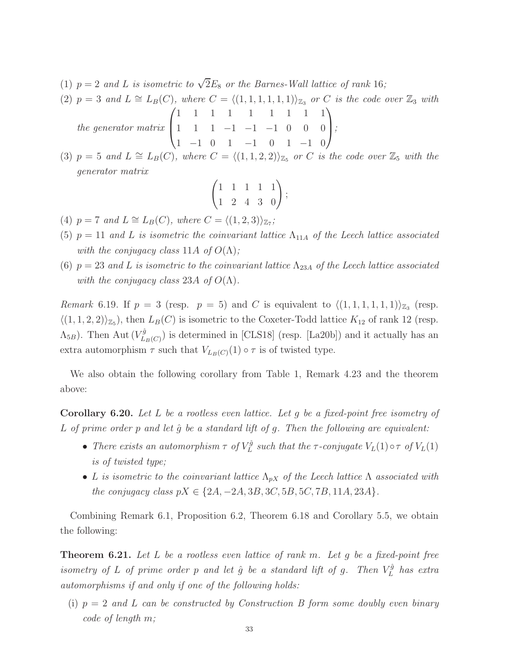- (1)  $p = 2$  and L is isometric to  $\sqrt{2}E_8$  or the Barnes-Wall lattice of rank 16;
- (2)  $p = 3$  *and*  $L \cong L_B(C)$ *, where*  $C = \langle (1, 1, 1, 1, 1, 1) \rangle_{\mathbb{Z}_3}$  *or* C *is the code over*  $\mathbb{Z}_3$  *with* 
	- *the generator matrix*  $\sqrt{ }$  $\left\lfloor \right\rfloor$ 1 1 1 1 1 1 1 1 1 1 1 1 −1 −1 −1 0 0 0 1 −1 0 1 −1 0 1 −1 0  $\setminus$ *;*
- (3)  $p = 5$  *and*  $L \cong L_B(C)$ *, where*  $C = \langle (1, 1, 2, 2) \rangle_{\mathbb{Z}_5}$  *or* C *is the code over*  $\mathbb{Z}_5$  *with the generator matrix*

$$
\begin{pmatrix} 1 & 1 & 1 & 1 & 1 \\ 1 & 2 & 4 & 3 & 0 \end{pmatrix};
$$

- (4)  $p = 7$  and  $L ≅ L_B(C)$ , where  $C = \langle (1, 2, 3) \rangle_{\mathbb{Z}_7}$ ;
- (5)  $p = 11$  *and* L *is isometric the coinvariant lattice*  $\Lambda_{11A}$  *of the Leech lattice associated with the conjugacy class* 11A *of*  $O(\Lambda)$ ;
- (6)  $p = 23$  and L is isometric to the coinvariant lattice  $\Lambda_{23A}$  of the Leech lattice associated *with the conjugacy class* 23A *of*  $O(\Lambda)$ .

*Remark* 6.19. If  $p = 3$  (resp.  $p = 5$ ) and C is equivalent to  $\langle (1, 1, 1, 1, 1, 1) \rangle_{\mathbb{Z}_3}$  (resp.  $\langle (1, 1, 2, 2) \rangle_{\mathbb{Z}_5}$ , then  $L_B(C)$  is isometric to the Coxeter-Todd lattice  $K_{12}$  of rank 12 (resp.  $(\Lambda_{5B})$ . Then Aut  $(V_L^{\hat{g}})$  $L_{B(C)}^{g}$ ) is determined in [CLS18] (resp. [La20b]) and it actually has an extra automorphism  $\tau$  such that  $V_{L_B(C)}(1) \circ \tau$  is of twisted type.

We also obtain the following corollary from Table 1, Remark 4.23 and the theorem above:

Corollary 6.20. *Let* L *be a rootless even lattice. Let* g *be a fixed-point free isometry of* L of prime order p and let  $\hat{q}$  be a standard lift of q. Then the following are equivalent:

- There exists an automorphism  $\tau$  of  $V_L^{\hat{g}}$  $L^g$  such that the  $\tau$ -conjugate  $V_L(1) \circ \tau$  of  $V_L(1)$ *is of twisted type;*
- L *is isometric to the coinvariant lattice*  $\Lambda_{pX}$  *of the Leech lattice*  $\Lambda$  *associated with the conjugacy class*  $pX \in \{2A, -2A, 3B, 3C, 5B, 5C, 7B, 11A, 23A\}.$

Combining Remark 6.1, Proposition 6.2, Theorem 6.18 and Corollary 5.5, we obtain the following:

Theorem 6.21. *Let* L *be a rootless even lattice of rank* m*. Let* g *be a fixed-point free isometry of* L *of prime order* p *and let*  $\hat{g}$  *be a standard lift of* g. Then  $V_L^{\hat{g}}$ L *has extra automorphisms if and only if one of the following holds:*

(i) p = 2 *and* L *can be constructed by Construction B form some doubly even binary code of length* m*;*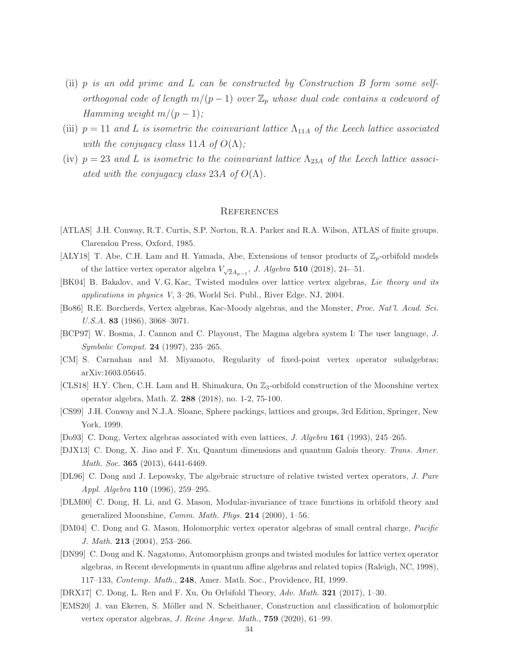- (ii) p *is an odd prime and* L *can be constructed by Construction B form some selforthogonal code of length*  $m/(p-1)$  *over*  $\mathbb{Z}_p$  *whose dual code contains a codeword of Hamming weight*  $m/(p-1)$ *;*
- (iii)  $p = 11$  *and* L *is isometric the coinvariant lattice*  $\Lambda_{11A}$  *of the Leech lattice associated with the conjugacy class* 11A *of*  $O(\Lambda)$ ;
- (iv)  $p = 23$  *and* L *is isometric to the coinvariant lattice*  $\Lambda_{23A}$  *of the Leech lattice associated with the conjugacy class* 23A *of*  $O(\Lambda)$ *.*

## **REFERENCES**

- [ATLAS] J.H. Conway, R.T. Curtis, S.P. Norton, R.A. Parker and R.A. Wilson, ATLAS of finite groups. Clarendon Press, Oxford, 1985.
- [ALY18] T. Abe, C.H. Lam and H. Yamada, Abe, Extensions of tensor products of  $\mathbb{Z}_p$ -orbifold models of the lattice vertex operator algebra  $V_{\sqrt{2}A_{p-1}}$ , J. Algebra 510 (2018), 24--51.
- [BK04] B. Bakalov, and V. G. Kac, Twisted modules over lattice vertex algebras, Lie theory and its applications in physics V, 3–26, World Sci. Publ., River Edge, NJ, 2004.
- [Bo86] R.E. Borcherds, Vertex algebras, Kac-Moody algebras, and the Monster, Proc. Nat'l. Acad. Sci. U.S.A. 83 (1986), 3068–3071.
- [BCP97] W. Bosma, J. Cannon and C. Playoust, The Magma algebra system I: The user language, J. Symbolic Comput. 24 (1997), 235–265.
- [CM] S. Carnahan and M. Miyamoto, Regularity of fixed-point vertex operator subalgebras; arXiv:1603.05645.
- [CLS18] H.Y. Chen, C.H. Lam and H. Shimakura, On  $\mathbb{Z}_3$ -orbifold construction of the Moonshine vertex operator algebra, Math. Z. 288 (2018), no. 1-2, 75-100.
- [CS99] J.H. Conway and N.J.A. Sloane, Sphere packings, lattices and groups, 3rd Edition, Springer, New York, 1999.
- [Do93] C. Dong, Vertex algebras associated with even lattices, J. Algebra 161 (1993), 245–265.
- [DJX13] C. Dong, X. Jiao and F. Xu, Quantum dimensions and quantum Galois theory. Trans. Amer. Math. Soc. **365** (2013), 6441-6469.
- [DL96] C. Dong and J. Lepowsky, The algebraic structure of relative twisted vertex operators, J. Pure Appl. Algebra 110 (1996), 259–295.
- [DLM00] C. Dong, H. Li, and G. Mason, Modular-invariance of trace functions in orbifold theory and generalized Moonshine, Comm. Math. Phys. 214 (2000), 1–56.
- [DM04] C. Dong and G. Mason, Holomorphic vertex operator algebras of small central charge, Pacific J. Math. 213 (2004), 253–266.
- [DN99] C. Dong and K. Nagatomo, Automorphism groups and twisted modules for lattice vertex operator algebras, in Recent developments in quantum affine algebras and related topics (Raleigh, NC, 1998), 117–133, Contemp. Math., 248, Amer. Math. Soc., Providence, RI, 1999.
- [DRX17] C. Dong, L. Ren and F. Xu, On Orbifold Theory, Adv. Math. 321 (2017), 1–30.
- [EMS20] J. van Ekeren, S. Möller and N. Scheithauer, Construction and classification of holomorphic vertex operator algebras, J. Reine Angew. Math., 759 (2020), 61–99.